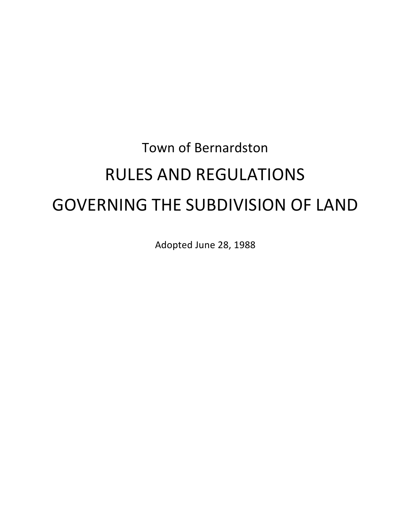# Town of Bernardston RULES AND REGULATIONS GOVERNING THE SUBDIVISION OF LAND

Adopted June 28, 1988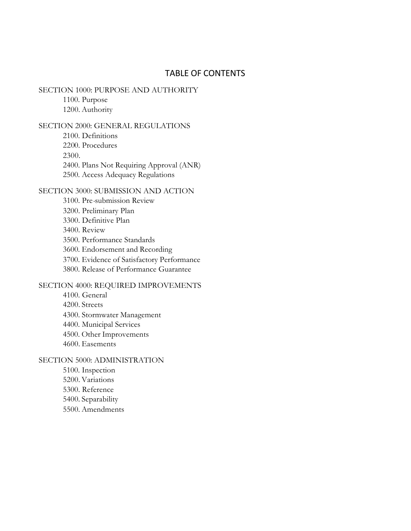### TABLE OF CONTENTS

### SECTION 1000: PURPOSE AND AUTHORITY

1100. Purpose 1200. Authority

### SECTION 2000: GENERAL REGULATIONS

2100. Definitions 2200. Procedures 2300.

2400. Plans Not Requiring Approval (ANR)

2500. Access Adequacy Regulations

### SECTION 3000: SUBMISSION AND ACTION

- 3100. Pre-submission Review
- 3200. Preliminary Plan
- 3300. Definitive Plan
- 3400. Review
- 3500. Performance Standards
- 3600. Endorsement and Recording
- 3700. Evidence of Satisfactory Performance
- 3800. Release of Performance Guarantee

### SECTION 4000: REQUIRED IMPROVEMENTS

- 4100. General 4200. Streets 4300. Stormwater Management 4400. Municipal Services 4500. Other Improvements
- 4600. Easements

### SECTION 5000: ADMINISTRATION

5100. Inspection 5200. Variations 5300. Reference 5400. Separability 5500. Amendments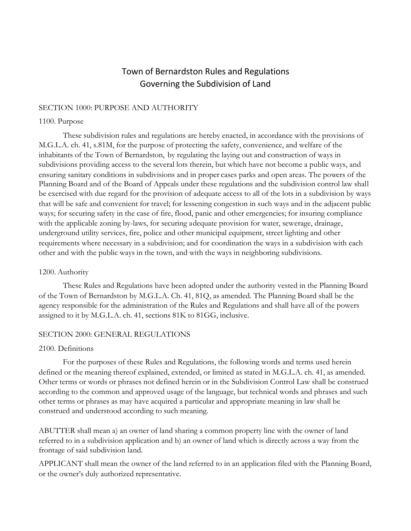# Town of Bernardston Rules and Regulations Governing the Subdivision of Land

### SECTION 1000: PURPOSE AND AUTHORITY

### 1100. Purpose

These subdivision rules and regulations are hereby enacted, in accordance with the provisions of M.G.L.A. ch. 41, s.81M, for the purpose of protecting the safety, convenience, and welfare of the inhabitants of the Town of Bernardston, by regulating the laying out and construction of ways in subdivisions providing access to the several lots therein, but which have not become a public ways, and ensuring sanitary conditions in subdivisions and in proper cases parks and open areas. The powers of the Planning Board and of the Board of Appeals under these regulations and the subdivision control law shall be exercised with due regard for the provision of adequate access to all of the lots in a subdivision by ways that will be safe and convenient for travel; for lessening congestion in such ways and in the adjacent public ways; for securing safety in the case of fire, flood, panic and other emergencies; for insuring compliance with the applicable zoning by-laws, for securing adequate provision for water, sewerage, drainage, underground utility services, fire, police and other municipal equipment, street lighting and other requirements where necessary in a subdivision; and for coordination the ways in a subdivision with each other and with the public ways in the town, and with the ways in neighboring subdivisions.

### 1200. Authority

These Rules and Regulations have been adopted under the authority vested in the Planning Board of the Town of Bernardston by M.G.L.A. Ch. 41, 81Q, as amended. The Planning Board shall be the agency responsible for the administration of the Rules and Regulations and shall have all of the powers assigned to it by M.G.L.A. ch. 41, sections 81K to 81GG, inclusive.

### SECTION 2000: GENERAL REGULATIONS

### 2100. Definitions

For the purposes of these Rules and Regulations, the following words and terms used herein defined or the meaning thereof explained, extended, or limited as stated in M.G.L.A. ch. 41, as amended. Other terms or words or phrases not defined herein or in the Subdivision Control Law shall be construed according to the common and approved usage of the language, but technical words and phrases and such other terms or phrases as may have acquired a particular and appropriate meaning in law shall be construed and understood according to such meaning.

ABUTTER shall mean a) an owner of land sharing a common property line with the owner of land referred to in a subdivision application and b) an owner of land which is directly across a way from the frontage of said subdivision land.

APPLICANT shall mean the owner of the land referred to in an application filed with the Planning Board, or the owner's duly authorized representative.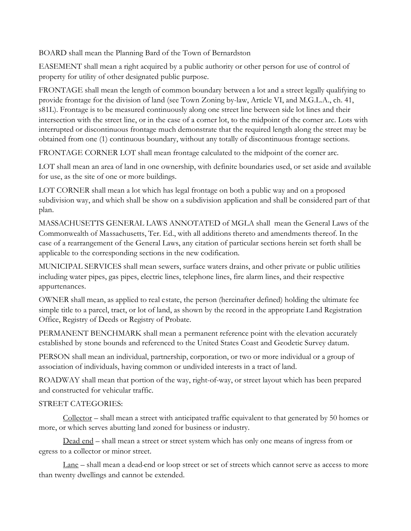BOARD shall mean the Planning Bard of the Town of Bernardston

EASEMENT shall mean a right acquired by a public authority or other person for use of control of property for utility of other designated public purpose.

FRONTAGE shall mean the length of common boundary between a lot and a street legally qualifying to provide frontage for the division of land (see Town Zoning by-law, Article VI, and M.G.L.A., ch. 41, s81L). Frontage is to be measured continuously along one street line between side lot lines and their intersection with the street line, or in the case of a corner lot, to the midpoint of the corner arc. Lots with interrupted or discontinuous frontage much demonstrate that the required length along the street may be obtained from one (1) continuous boundary, without any totally of discontinuous frontage sections.

FRONTAGE CORNER LOT shall mean frontage calculated to the midpoint of the corner arc.

LOT shall mean an area of land in one ownership, with definite boundaries used, or set aside and available for use, as the site of one or more buildings.

LOT CORNER shall mean a lot which has legal frontage on both a public way and on a proposed subdivision way, and which shall be show on a subdivision application and shall be considered part of that plan.

MASSACHUSETTS GENERAL LAWS ANNOTATED of MGLA shall mean the General Laws of the Commonwealth of Massachusetts, Ter. Ed., with all additions thereto and amendments thereof. In the case of a rearrangement of the General Laws, any citation of particular sections herein set forth shall be applicable to the corresponding sections in the new codification.

MUNICIPAL SERVICES shall mean sewers, surface waters drains, and other private or public utilities including water pipes, gas pipes, electric lines, telephone lines, fire alarm lines, and their respective appurtenances.

OWNER shall mean, as applied to real estate, the person (hereinafter defined) holding the ultimate fee simple title to a parcel, tract, or lot of land, as shown by the record in the appropriate Land Registration Office, Registry of Deeds or Registry of Probate.

PERMANENT BENCHMARK shall mean a permanent reference point with the elevation accurately established by stone bounds and referenced to the United States Coast and Geodetic Survey datum.

PERSON shall mean an individual, partnership, corporation, or two or more individual or a group of association of individuals, having common or undivided interests in a tract of land.

ROADWAY shall mean that portion of the way, right-of-way, or street layout which has been prepared and constructed for vehicular traffic.

# STREET CATEGORIES:

 $Collector$  – shall mean a street with anticipated traffic equivalent to that generated by 50 homes or more, or which serves abutting land zoned for business or industry.

Dead end – shall mean a street or street system which has only one means of ingress from or egress to a collector or minor street.

Lane – shall mean a dead-end or loop street or set of streets which cannot serve as access to more than twenty dwellings and cannot be extended.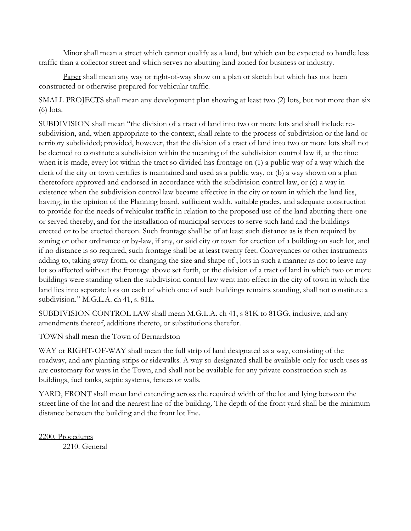Minor shall mean a street which cannot qualify as a land, but which can be expected to handle less traffic than a collector street and which serves no abutting land zoned for business or industry.

Paper shall mean any way or right-of-way show on a plan or sketch but which has not been constructed or otherwise prepared for vehicular traffic.

SMALL PROJECTS shall mean any development plan showing at least two (2) lots, but not more than six (6) lots.

SUBDIVISION shall mean "the division of a tract of land into two or more lots and shall include resubdivision, and, when appropriate to the context, shall relate to the process of subdivision or the land or territory subdivided; provided, however, that the division of a tract of land into two or more lots shall not be deemed to constitute a subdivision within the meaning of the subdivision control law if, at the time when it is made, every lot within the tract so divided has frontage on (1) a public way of a way which the clerk of the city or town certifies is maintained and used as a public way, or (b) a way shown on a plan theretofore approved and endorsed in accordance with the subdivision control law, or (c) a way in existence when the subdivision control law became effective in the city or town in which the land lies, having, in the opinion of the Planning board, sufficient width, suitable grades, and adequate construction to provide for the needs of vehicular traffic in relation to the proposed use of the land abutting there one or served thereby, and for the installation of municipal services to serve such land and the buildings erected or to be erected thereon. Such frontage shall be of at least such distance as is then required by zoning or other ordinance or by-law, if any, or said city or town for erection of a building on such lot, and if no distance is so required, such frontage shall be at least twenty feet. Conveyances or other instruments adding to, taking away from, or changing the size and shape of , lots in such a manner as not to leave any lot so affected without the frontage above set forth, or the division of a tract of land in which two or more buildings were standing when the subdivision control law went into effect in the city of town in which the land lies into separate lots on each of which one of such buildings remains standing, shall not constitute a subdivision." M.G.L.A. ch 41, s. 81L.

SUBDIVISION CONTROL LAW shall mean M.G.L.A. ch 41, s 81K to 81GG, inclusive, and any amendments thereof, additions thereto, or substitutions therefor.

TOWN shall mean the Town of Bernardston

WAY or RIGHT-OF-WAY shall mean the full strip of land designated as a way, consisting of the roadway, and any planting strips or sidewalks. A way so designated shall be available only for usch uses as are customary for ways in the Town, and shall not be available for any private construction such as buildings, fuel tanks, septic systems, fences or walls.

YARD, FRONT shall mean land extending across the required width of the lot and lying between the street line of the lot and the nearest line of the building. The depth of the front yard shall be the minimum distance between the building and the front lot line.

2200. Procedures 2210. General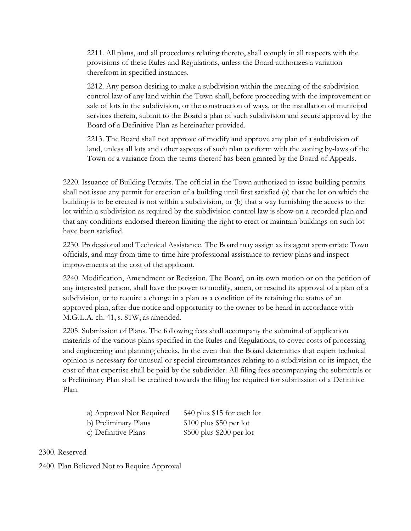2211. All plans, and all procedures relating thereto, shall comply in all respects with the provisions of these Rules and Regulations, unless the Board authorizes a variation therefrom in specified instances.

2212. Any person desiring to make a subdivision within the meaning of the subdivision control law of any land within the Town shall, before proceeding with the improvement or sale of lots in the subdivision, or the construction of ways, or the installation of municipal services therein, submit to the Board a plan of such subdivision and secure approval by the Board of a Definitive Plan as hereinafter provided.

2213. The Board shall not approve of modify and approve any plan of a subdivision of land, unless all lots and other aspects of such plan conform with the zoning by-laws of the Town or a variance from the terms thereof has been granted by the Board of Appeals.

2220. Issuance of Building Permits. The official in the Town authorized to issue building permits shall not issue any permit for erection of a building until first satisfied (a) that the lot on which the building is to be erected is not within a subdivision, or (b) that a way furnishing the access to the lot within a subdivision as required by the subdivision control law is show on a recorded plan and that any conditions endorsed thereon limiting the right to erect or maintain buildings on such lot have been satisfied.

2230. Professional and Technical Assistance. The Board may assign as its agent appropriate Town officials, and may from time to time hire professional assistance to review plans and inspect improvements at the cost of the applicant.

2240. Modification, Amendment or Recission. The Board, on its own motion or on the petition of any interested person, shall have the power to modify, amen, or rescind its approval of a plan of a subdivision, or to require a change in a plan as a condition of its retaining the status of an approved plan, after due notice and opportunity to the owner to be heard in accordance with M.G.L.A. ch. 41, s. 81W, as amended.

2205. Submission of Plans. The following fees shall accompany the submittal of application materials of the various plans specified in the Rules and Regulations, to cover costs of processing and engineering and planning checks. In the even that the Board determines that expert technical opinion is necessary for unusual or special circumstances relating to a subdivision or its impact, the cost of that expertise shall be paid by the subdivider. All filing fees accompanying the submittals or a Preliminary Plan shall be credited towards the filing fee required for submission of a Definitive Plan.

| a) Approval Not Required | \$40 plus \$15 for each lot |
|--------------------------|-----------------------------|
| b) Preliminary Plans     | $$100$ plus \$50 per lot    |
| c) Definitive Plans      | $$500$ plus \$200 per lot   |

2300. Reserved

2400. Plan Believed Not to Require Approval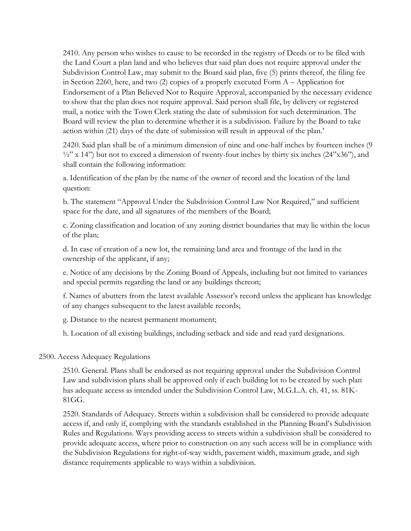2410. Any person who wishes to cause to be recorded in the registry of Deeds or to be filed with the Land Court a plan land and who believes that said plan does not require approval under the Subdivision Control Law, may submit to the Board said plan, five (5) prints thereof, the filing fee in Section 2260, here, and two (2) copies of a properly executed Form A – Application for Endorsement of a Plan Believed Not to Require Approval, accompanied by the necessary evidence to show that the plan does not require approval. Said person shall file, by delivery or registered mail, a notice with the Town Clerk stating the date of submission for such determination. The Board will review the plan to determine whether it is a subdivision. Failure by the Board to take action within (21) days of the date of submission will result in approval of the plan.'

2420. Said plan shall be of a minimum dimension of nine and one-half inches by fourteen inches (9  $\frac{1}{2}$ " x 14") but not to exceed a dimension of twenty-four inches by thirty six inches (24"x36"), and shall contain the following information:

a. Identification of the plan by the name of the owner of record and the location of the land question:

b. The statement "Approval Under the Subdivision Control Law Not Required," and sufficient space for the date, and all signatures of the members of the Board;

c. Zoning classification and location of any zoning district boundaries that may lie within the locus of the plan;

d. In case of creation of a new lot, the remaining land area and frontage of the land in the ownership of the applicant, if any;

e. Notice of any decisions by the Zoning Board of Appeals, including but not limited to variances and special permits regarding the land or any buildings thereon;

f. Names of abutters from the latest available Assessor's record unless the applicant has knowledge of any changes subsequent to the latest available records;

g. Distance to the nearest permanent monument;

h. Location of all existing buildings, including setback and side and read yard designations.

### 2500. Access Adequacy Regulations

2510. General. Plans shall be endorsed as not requiring approval under the Subdivision Control Law and subdivision plans shall be approved only if each building lot to be created by such plan has adequate access as intended under the Subdivision Control Law, M.G.L.A. ch. 41, ss. 81K-81GG.

2520. Standards of Adequacy. Streets within a subdivision shall be considered to provide adequate access if, and only if, complying with the standards established in the Planning Board's Subdivision Rules and Regulations. Ways providing access to streets within a subdivision shall be considered to provide adequate access, where prior to construction on any such access will be in compliance with the Subdivision Regulations for right-of-way width, pavement width, maximum grade, and sigh distance requirements applicable to ways within a subdivision.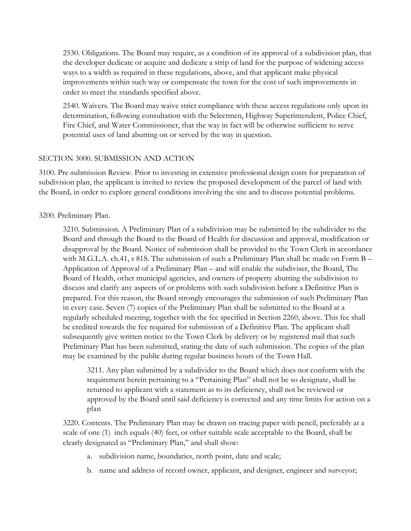2530. Obligations. The Board may require, as a condition of its approval of a subdivision plan, that the developer dedicate or acquire and dedicate a strip of land for the purpose of widening access ways to a width as required in these regulations, above, and that applicant make physical improvements within such way or compensate the town for the cost of such improvements in order to meet the standards specified above.

2540. Waivers. The Board may waive strict compliance with these access regulations only upon its determination, following consultation with the Selectmen, Highway Superintendent, Police Chief, Fire Chief, and Water Commissioner, that the way in fact will be otherwise sufficient to serve potential uses of land abutting on or served by the way in question.

### SECTION 3000. SUBMISSION AND ACTION

3100. Pre-submission Review. Prior to investing in extensive professional design costs for preparation of subdivision plan, the applicant is invited to review the proposed development of the parcel of land with the Board, in order to explore general conditions involving the site and to discuss potential problems.

### 3200. Preliminary Plan.

3210. Submission. A Preliminary Plan of a subdivision may be submitted by the subdivider to the Board and through the Board to the Board of Health for discussion and approval, modification or disapproval by the Board. Notice of submission shall be provided to the Town Clerk in accordance with M.G.L.A. ch.41, s 81S. The submission of such a Preliminary Plan shall be made on Form B – Application of Approval of a Preliminary Plan – and will enable the subdiviser, the Board, The Board of Health, other municipal agencies, and owners of property abutting the subdivision to discuss and clarify any aspects of or problems with such subdivision before a Definitive Plan is prepared. For this reason, the Board strongly encourages the submission of such Preliminary Plan in every case. Seven (7) copies of the Preliminary Plan shall be submitted to the Board at a regularly scheduled meeting, together with the fee specified in Section 2260, above. This fee shall be credited towards the fee required for submission of a Definitive Plan. The applicant shall subsequently give written notice to the Town Clerk by delivery or by registered mail that such Preliminary Plan has been submitted, stating the date of such submission. The copies of the plan may be examined by the public during regular business hours of the Town Hall.

3211. Any plan submitted by a subdivider to the Board which does not conform with the requirement herein pertaining to a "Pertaining Plan" shall not be so designate, shall be returned to applicant with a statement as to its deficiency, shall not be reviewed or approved by the Board until said deficiency is corrected and any time limits for action on a plan

3220. Contents. The Preliminary Plan may be drawn on tracing paper with pencil, preferably at a scale of one (1) inch equals (40) feet, or other suitable scale acceptable to the Board, shall be clearly designated as "Preliminary Plan," and shall show:

- a. subdivision name, boundaries, north point, date and scale;
- b. name and address of record owner, applicant, and designer, engineer and surveyor;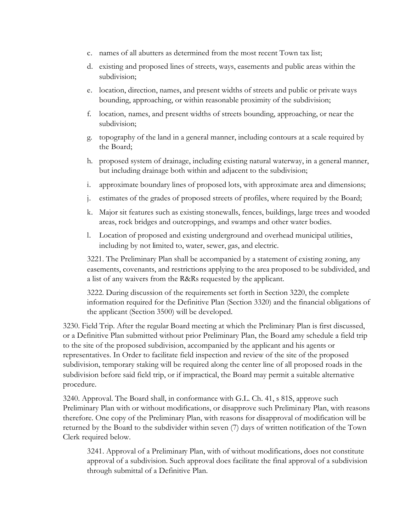- c. names of all abutters as determined from the most recent Town tax list;
- d. existing and proposed lines of streets, ways, easements and public areas within the subdivision;
- e. location, direction, names, and present widths of streets and public or private ways bounding, approaching, or within reasonable proximity of the subdivision;
- f. location, names, and present widths of streets bounding, approaching, or near the subdivision;
- g. topography of the land in a general manner, including contours at a scale required by the Board;
- h. proposed system of drainage, including existing natural waterway, in a general manner, but including drainage both within and adjacent to the subdivision;
- i. approximate boundary lines of proposed lots, with approximate area and dimensions;
- j. estimates of the grades of proposed streets of profiles, where required by the Board;
- k. Major sit features such as existing stonewalls, fences, buildings, large trees and wooded areas, rock bridges and outcroppings, and swamps and other water bodies.
- l. Location of proposed and existing underground and overhead municipal utilities, including by not limited to, water, sewer, gas, and electric.

3221. The Preliminary Plan shall be accompanied by a statement of existing zoning, any easements, covenants, and restrictions applying to the area proposed to be subdivided, and a list of any waivers from the R&Rs requested by the applicant.

3222. During discussion of the requirements set forth in Section 3220, the complete information required for the Definitive Plan (Section 3320) and the financial obligations of the applicant (Section 3500) will be developed.

3230. Field Trip. After the regular Board meeting at which the Preliminary Plan is first discussed, or a Definitive Plan submitted without prior Preliminary Plan, the Board amy schedule a field trip to the site of the proposed subdivision, accompanied by the applicant and his agents or representatives. In Order to facilitate field inspection and review of the site of the proposed subdivision, temporary staking will be required along the center line of all proposed roads in the subdivision before said field trip, or if impractical, the Board may permit a suitable alternative procedure.

3240. Approval. The Board shall, in conformance with G.L. Ch. 41, s 81S, approve such Preliminary Plan with or without modifications, or disapprove such Preliminary Plan, with reasons therefore. One copy of the Preliminary Plan, with reasons for disapproval of modification will be returned by the Board to the subdivider within seven (7) days of written notification of the Town Clerk required below.

3241. Approval of a Preliminary Plan, with of without modifications, does not constitute approval of a subdivision. Such approval does facilitate the final approval of a subdivision through submittal of a Definitive Plan.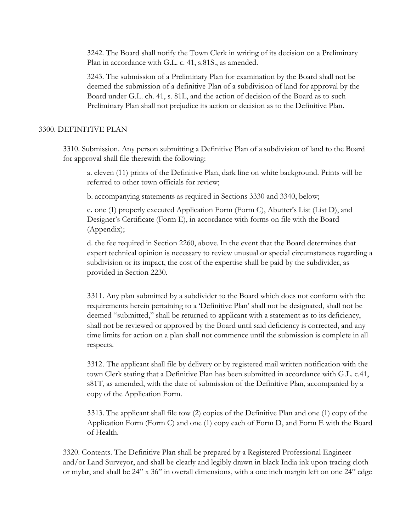3242. The Board shall notify the Town Clerk in writing of its decision on a Preliminary Plan in accordance with G.L. c. 41, s.81S., as amended.

3243. The submission of a Preliminary Plan for examination by the Board shall not be deemed the submission of a definitive Plan of a subdivision of land for approval by the Board under G.L. ch. 41, s. 81L, and the action of decision of the Board as to such Preliminary Plan shall not prejudice its action or decision as to the Definitive Plan.

### 3300. DEFINITIVE PLAN

3310. Submission. Any person submitting a Definitive Plan of a subdivision of land to the Board for approval shall file therewith the following:

a. eleven (11) prints of the Definitive Plan, dark line on white background. Prints will be referred to other town officials for review;

b. accompanying statements as required in Sections 3330 and 3340, below;

c. one (1) properly executed Application Form (Form C), Abutter's List (List D), and Designer's Certificate (Form E), in accordance with forms on file with the Board (Appendix);

d. the fee required in Section 2260, above. In the event that the Board determines that expert technical opinion is necessary to review unusual or special circumstances regarding a subdivision or its impact, the cost of the expertise shall be paid by the subdivider, as provided in Section 2230.

3311. Any plan submitted by a subdivider to the Board which does not conform with the requirements herein pertaining to a 'Definitive Plan' shall not be designated, shall not be deemed "submitted," shall be returned to applicant with a statement as to its deficiency, shall not be reviewed or approved by the Board until said deficiency is corrected, and any time limits for action on a plan shall not commence until the submission is complete in all respects.

3312. The applicant shall file by delivery or by registered mail written notification with the town Clerk stating that a Definitive Plan has been submitted in accordance with G.L. c.41, s81T, as amended, with the date of submission of the Definitive Plan, accompanied by a copy of the Application Form.

3313. The applicant shall file tow (2) copies of the Definitive Plan and one (1) copy of the Application Form (Form C) and one (1) copy each of Form D, and Form E with the Board of Health.

3320. Contents. The Definitive Plan shall be prepared by a Registered Professional Engineer and/or Land Surveyor, and shall be clearly and legibly drawn in black India ink upon tracing cloth or mylar, and shall be 24" x 36" in overall dimensions, with a one inch margin left on one 24" edge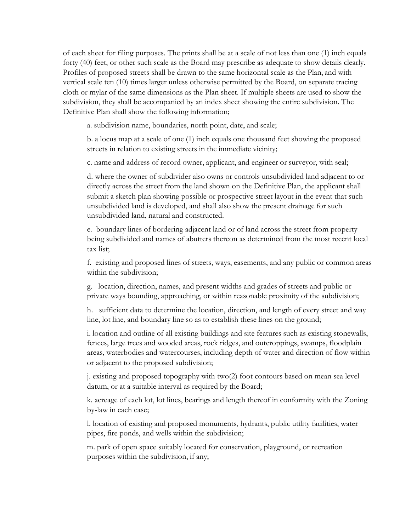of each sheet for filing purposes. The prints shall be at a scale of not less than one (1) inch equals forty (40) feet, or other such scale as the Board may prescribe as adequate to show details clearly. Profiles of proposed streets shall be drawn to the same horizontal scale as the Plan, and with vertical scale ten (10) times larger unless otherwise permitted by the Board, on separate tracing cloth or mylar of the same dimensions as the Plan sheet. If multiple sheets are used to show the subdivision, they shall be accompanied by an index sheet showing the entire subdivision. The Definitive Plan shall show the following information;

a. subdivision name, boundaries, north point, date, and scale;

b. a locus map at a scale of one (1) inch equals one thousand feet showing the proposed streets in relation to existing streets in the immediate vicinity;

c. name and address of record owner, applicant, and engineer or surveyor, with seal;

d. where the owner of subdivider also owns or controls unsubdivided land adjacent to or directly across the street from the land shown on the Definitive Plan, the applicant shall submit a sketch plan showing possible or prospective street layout in the event that such unsubdivided land is developed, and shall also show the present drainage for such unsubdivided land, natural and constructed.

e. boundary lines of bordering adjacent land or of land across the street from property being subdivided and names of abutters thereon as determined from the most recent local tax list;

f. existing and proposed lines of streets, ways, easements, and any public or common areas within the subdivision;

g. location, direction, names, and present widths and grades of streets and public or private ways bounding, approaching, or within reasonable proximity of the subdivision;

h. sufficient data to determine the location, direction, and length of every street and way line, lot line, and boundary line so as to establish these lines on the ground;

i. location and outline of all existing buildings and site features such as existing stonewalls, fences, large trees and wooded areas, rock ridges, and outcroppings, swamps, floodplain areas, waterbodies and watercourses, including depth of water and direction of flow within or adjacent to the proposed subdivision;

j. existing and proposed topography with two(2) foot contours based on mean sea level datum, or at a suitable interval as required by the Board;

k. acreage of each lot, lot lines, bearings and length thereof in conformity with the Zoning by-law in each case;

l. location of existing and proposed monuments, hydrants, public utility facilities, water pipes, fire ponds, and wells within the subdivision;

m. park of open space suitably located for conservation, playground, or recreation purposes within the subdivision, if any;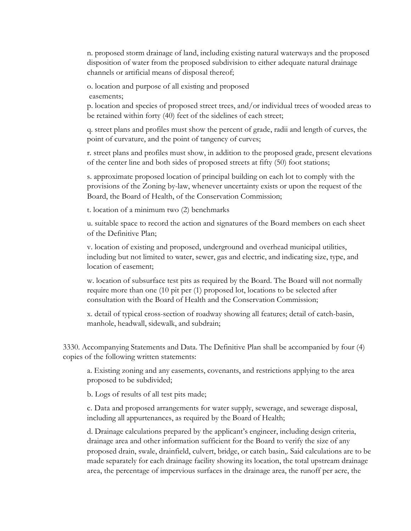n. proposed storm drainage of land, including existing natural waterways and the proposed disposition of water from the proposed subdivision to either adequate natural drainage channels or artificial means of disposal thereof;

o. location and purpose of all existing and proposed

easements;

p. location and species of proposed street trees, and/or individual trees of wooded areas to be retained within forty (40) feet of the sidelines of each street;

q. street plans and profiles must show the percent of grade, radii and length of curves, the point of curvature, and the point of tangency of curves;

r. street plans and profiles must show, in addition to the proposed grade, present elevations of the center line and both sides of proposed streets at fifty (50) foot stations;

s. approximate proposed location of principal building on each lot to comply with the provisions of the Zoning by-law, whenever uncertainty exists or upon the request of the Board, the Board of Health, of the Conservation Commission;

t. location of a minimum two (2) benchmarks

u. suitable space to record the action and signatures of the Board members on each sheet of the Definitive Plan;

v. location of existing and proposed, underground and overhead municipal utilities, including but not limited to water, sewer, gas and electric, and indicating size, type, and location of easement;

w. location of subsurface test pits as required by the Board. The Board will not normally require more than one (10 pit per (1) proposed lot, locations to be selected after consultation with the Board of Health and the Conservation Commission;

x. detail of typical cross-section of roadway showing all features; detail of catch-basin, manhole, headwall, sidewalk, and subdrain;

3330. Accompanying Statements and Data. The Definitive Plan shall be accompanied by four (4) copies of the following written statements:

a. Existing zoning and any easements, covenants, and restrictions applying to the area proposed to be subdivided;

b. Logs of results of all test pits made;

c. Data and proposed arrangements for water supply, sewerage, and sewerage disposal, including all appurtenances, as required by the Board of Health;

d. Drainage calculations prepared by the applicant's engineer, including design criteria, drainage area and other information sufficient for the Board to verify the size of any proposed drain, swale, drainfield, culvert, bridge, or catch basin,. Said calculations are to be made separately for each drainage facility showing its location, the total upstream drainage area, the percentage of impervious surfaces in the drainage area, the runoff per acre, the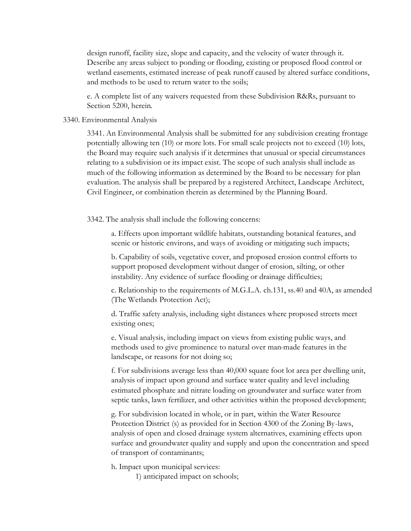design runoff, facility size, slope and capacity, and the velocity of water through it. Describe any areas subject to ponding or flooding, existing or proposed flood control or wetland easements, estimated increase of peak runoff caused by altered surface conditions, and methods to be used to return water to the soils;

e. A complete list of any waivers requested from these Subdivision R&Rs, pursuant to Section 5200, herein.

#### 3340. Environmental Analysis

3341. An Environmental Analysis shall be submitted for any subdivision creating frontage potentially allowing ten (10) or more lots. For small scale projects not to exceed (10) lots, the Board may require such analysis if it determines that unusual or special circumstances relating to a subdivision or its impact exist. The scope of such analysis shall include as much of the following information as determined by the Board to be necessary for plan evaluation. The analysis shall be prepared by a registered Architect, Landscape Architect, Civil Engineer, or combination therein as determined by the Planning Board.

3342. The analysis shall include the following concerns:

a. Effects upon important wildlife habitats, outstanding botanical features, and scenic or historic environs, and ways of avoiding or mitigating such impacts;

b. Capability of soils, vegetative cover, and proposed erosion control efforts to support proposed development without danger of erosion, silting, or other instability. Any evidence of surface flooding or drainage difficulties;

c. Relationship to the requirements of M.G.L.A. ch.131, ss.40 and 40A, as amended (The Wetlands Protection Act);

d. Traffic safety analysis, including sight distances where proposed streets meet existing ones;

e. Visual analysis, including impact on views from existing public ways, and methods used to give prominence to natural over man-made features in the landscape, or reasons for not doing so;

f. For subdivisions average less than 40,000 square foot lot area per dwelling unit, analysis of impact upon ground and surface water quality and level including estimated phosphate and nitrate loading on groundwater and surface water from septic tanks, lawn fertilizer, and other activities within the proposed development;

g. For subdivision located in whole, or in part, within the Water Resource Protection District (s) as provided for in Section 4300 of the Zoning By-laws, analysis of open and closed drainage system alternatives, examining effects upon surface and groundwater quality and supply and upon the concentration and speed of transport of contaminants;

h. Impact upon municipal services:

1) anticipated impact on schools;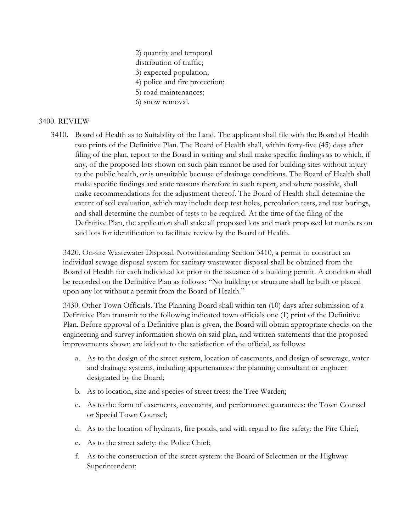- 2) quantity and temporal
- distribution of traffic;
- 3) expected population;
- 4) police and fire protection;
- 5) road maintenances;
- 6) snow removal.

### 3400. REVIEW

3410. Board of Health as to Suitability of the Land. The applicant shall file with the Board of Health two prints of the Definitive Plan. The Board of Health shall, within forty-five (45) days after filing of the plan, report to the Board in writing and shall make specific findings as to which, if any, of the proposed lots shown on such plan cannot be used for building sites without injury to the public health, or is unsuitable because of drainage conditions. The Board of Health shall make specific findings and state reasons therefore in such report, and where possible, shall make recommendations for the adjustment thereof. The Board of Health shall determine the extent of soil evaluation, which may include deep test holes, percolation tests, and test borings, and shall determine the number of tests to be required. At the time of the filing of the Definitive Plan, the application shall stake all proposed lots and mark proposed lot numbers on said lots for identification to facilitate review by the Board of Health.

3420. On-site Wastewater Disposal. Notwithstanding Section 3410, a permit to construct an individual sewage disposal system for sanitary wastewater disposal shall be obtained from the Board of Health for each individual lot prior to the issuance of a building permit. A condition shall be recorded on the Definitive Plan as follows: "No building or structure shall be built or placed upon any lot without a permit from the Board of Health."

3430. Other Town Officials. The Planning Board shall within ten (10) days after submission of a Definitive Plan transmit to the following indicated town officials one (1) print of the Definitive Plan. Before approval of a Definitive plan is given, the Board will obtain appropriate checks on the engineering and survey information shown on said plan, and written statements that the proposed improvements shown are laid out to the satisfaction of the official, as follows:

- a. As to the design of the street system, location of easements, and design of sewerage, water and drainage systems, including appurtenances: the planning consultant or engineer designated by the Board;
- b. As to location, size and species of street trees: the Tree Warden;
- c. As to the form of easements, covenants, and performance guarantees: the Town Counsel or Special Town Counsel;
- d. As to the location of hydrants, fire ponds, and with regard to fire safety: the Fire Chief;
- e. As to the street safety: the Police Chief;
- f. As to the construction of the street system: the Board of Selectmen or the Highway Superintendent;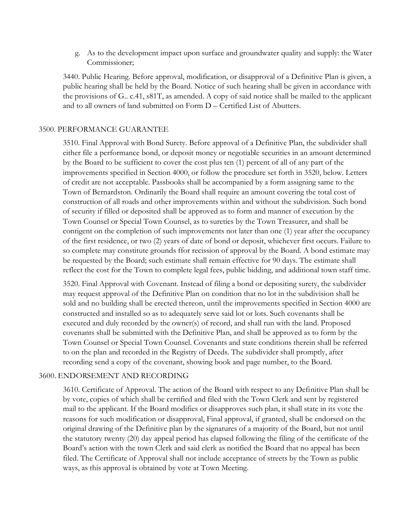g. As to the development impact upon surface and groundwater quality and supply: the Water Commissioner;

3440. Public Hearing. Before approval, modification, or disapproval of a Definitive Plan is given, a public hearing shall be held by the Board. Notice of such hearing shall be given in accordance with the provisions of G.. c.41, s81T, as amended. A copy of said notice shall be mailed to the applicant and to all owners of land submitted on Form D – Certified List of Abutters.

### 3500. PERFORMANCE GUARANTEE

3510. Final Approval with Bond Surety. Before approval of a Definitive Plan, the subdivider shall either file a performance bond, or deposit money or negotiable securities in an amount determined by the Board to be sufficient to cover the cost plus ten (1) percent of all of any part of the improvements specified in Section 4000, or follow the procedure set forth in 3520, below. Letters of credit are not acceptable. Passbooks shall be accompanied by a form assigning same to the Town of Bernardston. Ordinarily the Board shall require an amount covering the total cost of construction of all roads and other improvements within and without the subdivision. Such bond of security if filled or deposited shall be approved as to form and manner of execution by the Town Counsel or Special Town Counsel, as to sureties by the Town Treasurer, and shall be contigent on the completion of such improvements not later than one (1) year after the occupancy of the first residence, or two (2) years of date of bond or deposit, whichever first occurs. Failure to so complete may constitute grounds ffor recission of approval by the Board. A bond estimate may be requested by the Board; such estimate shall remain effective for 90 days. The estimate shall reflect the cost for the Town to complete legal fees, public bidding, and additional town staff time.

3520. Final Approval with Covenant. Instead of filing a bond or depositing surety, the subdivider may request approval of the Definitive Plan on condition that no lot in the subdivision shall be sold and no building shall be erected thereon, until the improvements specified in Section 4000 are constructed and installed so as to adequately serve said lot or lots. Such covenants shall be executed and duly recorded by the owner(s) of record, and shall run with the land. Proposed covenants shall be submitted with the Definitive Plan, and shall be approved as to form by the Town Counsel or Special Town Counsel. Covenants and state conditions therein shall be referred to on the plan and recorded in the Registry of Deeds. The subdivider shall promptly, after recording send a copy of the covenant, showing book and page number, to the Board.

### 3600. ENDORSEMENT AND RECORDING

3610. Certificate of Approval. The action of the Board with respect to any Definitive Plan shall be by vote, copies of which shall be certified and filed with the Town Clerk and sent by registered mail to the applicant. If the Board modifies or disapproves such plan, it shall state in its vote the reasons for such modification or disapproval, Final approval, if granted, shall be endorsed on the original drawing of the Definitive plan by the signatures of a majority of the Board, but not until the statutory twenty (20) day appeal period has elapsed following the filing of the certificate of the Board's action with the town Clerk and said clerk as notified the Board that no appeal has been filed. The Certificate of Approval shall not include acceptance of streets by the Town as public ways, as this approval is obtained by vote at Town Meeting.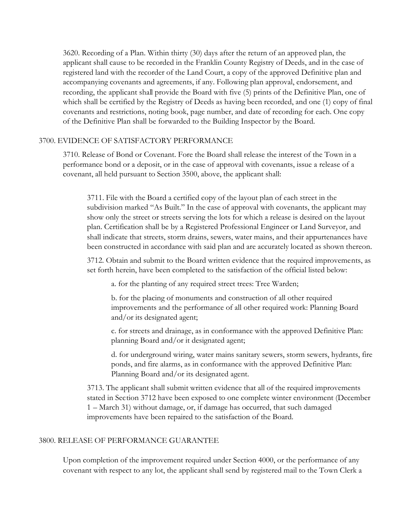3620. Recording of a Plan. Within thirty (30) days after the return of an approved plan, the applicant shall cause to be recorded in the Franklin County Registry of Deeds, and in the case of registered land with the recorder of the Land Court, a copy of the approved Definitive plan and accompanying covenants and agreements, if any. Following plan approval, endorsement, and recording, the applicant shall provide the Board with five (5) prints of the Definitive Plan, one of which shall be certified by the Registry of Deeds as having been recorded, and one (1) copy of final covenants and restrictions, noting book, page number, and date of recording for each. One copy of the Definitive Plan shall be forwarded to the Building Inspector by the Board.

### 3700. EVIDENCE OF SATISFACTORY PERFORMANCE

3710. Release of Bond or Covenant. Fore the Board shall release the interest of the Town in a performance bond or a deposit, or in the case of approval with covenants, issue a release of a covenant, all held pursuant to Section 3500, above, the applicant shall:

3711. File with the Board a certified copy of the layout plan of each street in the subdivision marked "As Built." In the case of approval with covenants, the applicant may show only the street or streets serving the lots for which a release is desired on the layout plan. Certification shall be by a Registered Professional Engineer or Land Surveyor, and shall indicate that streets, storm drains, sewers, water mains, and their appurtenances have been constructed in accordance with said plan and are accurately located as shown thereon.

3712. Obtain and submit to the Board written evidence that the required improvements, as set forth herein, have been completed to the satisfaction of the official listed below:

a. for the planting of any required street trees: Tree Warden;

b. for the placing of monuments and construction of all other required improvements and the performance of all other required work: Planning Board and/or its designated agent;

c. for streets and drainage, as in conformance with the approved Definitive Plan: planning Board and/or it designated agent;

d. for underground wiring, water mains sanitary sewers, storm sewers, hydrants, fire ponds, and fire alarms, as in conformance with the approved Definitive Plan: Planning Board and/or its designated agent.

3713. The applicant shall submit written evidence that all of the required improvements stated in Section 3712 have been exposed to one complete winter environment (December 1 – March 31) without damage, or, if damage has occurred, that such damaged improvements have been repaired to the satisfaction of the Board.

### 3800. RELEASE OF PERFORMANCE GUARANTEE

Upon completion of the improvement required under Section 4000, or the performance of any covenant with respect to any lot, the applicant shall send by registered mail to the Town Clerk a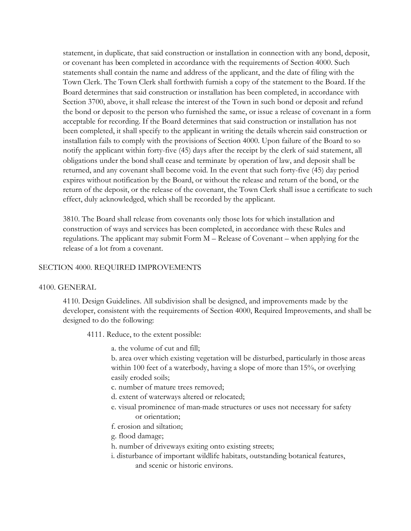statement, in duplicate, that said construction or installation in connection with any bond, deposit, or covenant has been completed in accordance with the requirements of Section 4000. Such statements shall contain the name and address of the applicant, and the date of filing with the Town Clerk. The Town Clerk shall forthwith furnish a copy of the statement to the Board. If the Board determines that said construction or installation has been completed, in accordance with Section 3700, above, it shall release the interest of the Town in such bond or deposit and refund the bond or deposit to the person who furnished the same, or issue a release of covenant in a form acceptable for recording. If the Board determines that said construction or installation has not been completed, it shall specify to the applicant in writing the details wherein said construction or installation fails to comply with the provisions of Section 4000. Upon failure of the Board to so notify the applicant within forty-five (45) days after the receipt by the clerk of said statement, all obligations under the bond shall cease and terminate by operation of law, and deposit shall be returned, and any covenant shall become void. In the event that such forty-five (45) day period expires without notification by the Board, or without the release and return of the bond, or the return of the deposit, or the release of the covenant, the Town Clerk shall issue a certificate to such effect, duly acknowledged, which shall be recorded by the applicant.

3810. The Board shall release from covenants only those lots for which installation and construction of ways and services has been completed, in accordance with these Rules and regulations. The applicant may submit Form M – Release of Covenant – when applying for the release of a lot from a covenant.

### SECTION 4000. REQUIRED IMPROVEMENTS

### 4100. GENERAL

4110. Design Guidelines. All subdivision shall be designed, and improvements made by the developer, consistent with the requirements of Section 4000, Required Improvements, and shall be designed to do the following:

4111. Reduce, to the extent possible:

a. the volume of cut and fill;

b. area over which existing vegetation will be disturbed, particularly in those areas within 100 feet of a waterbody, having a slope of more than 15%, or overlying easily eroded soils;

c. number of mature trees removed;

- d. extent of waterways altered or relocated;
- e. visual prominence of man-made structures or uses not necessary for safety or orientation;
- f. erosion and siltation;
- g. flood damage;
- h. number of driveways exiting onto existing streets;
- i. disturbance of important wildlife habitats, outstanding botanical features, and scenic or historic environs.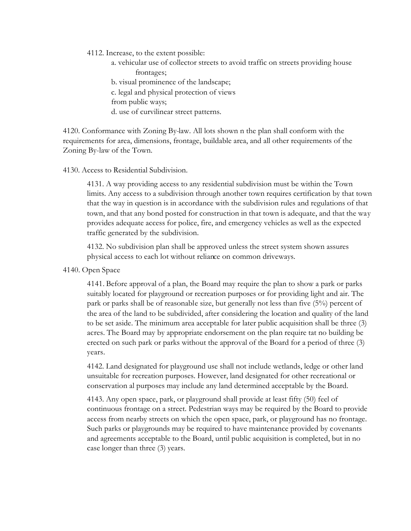4112. Increase, to the extent possible:

a. vehicular use of collector streets to avoid traffic on streets providing house frontages; b. visual prominence of the landscape; c. legal and physical protection of views from public ways; d. use of curvilinear street patterns.

4120. Conformance with Zoning By-law. All lots shown n the plan shall conform with the requirements for area, dimensions, frontage, buildable area, and all other requirements of the Zoning By-law of the Town.

### 4130. Access to Residential Subdivision.

4131. A way providing access to any residential subdivision must be within the Town limits. Any access to a subdivision through another town requires certification by that town that the way in question is in accordance with the subdivision rules and regulations of that town, and that any bond posted for construction in that town is adequate, and that the way provides adequate access for police, fire, and emergency vehicles as well as the expected traffic generated by the subdivision.

4132. No subdivision plan shall be approved unless the street system shown assures physical access to each lot without reliance on common driveways.

4140. Open Space

4141. Before approval of a plan, the Board may require the plan to show a park or parks suitably located for playground or recreation purposes or for providing light and air. The park or parks shall be of reasonable size, but generally not less than five (5%) percent of the area of the land to be subdivided, after considering the location and quality of the land to be set aside. The minimum area acceptable for later public acquisition shall be three (3) acres. The Board may by appropriate endorsement on the plan require tat no building be erected on such park or parks without the approval of the Board for a period of three (3) years.

4142. Land designated for playground use shall not include wetlands, ledge or other land unsuitable for recreation purposes. However, land designated for other recreational or conservation al purposes may include any land determined acceptable by the Board.

4143. Any open space, park, or playground shall provide at least fifty (50) feel of continuous frontage on a street. Pedestrian ways may be required by the Board to provide access from nearby streets on which the open space, park, or playground has no frontage. Such parks or playgrounds may be required to have maintenance provided by covenants and agreements acceptable to the Board, until public acquisition is completed, but in no case longer than three (3) years.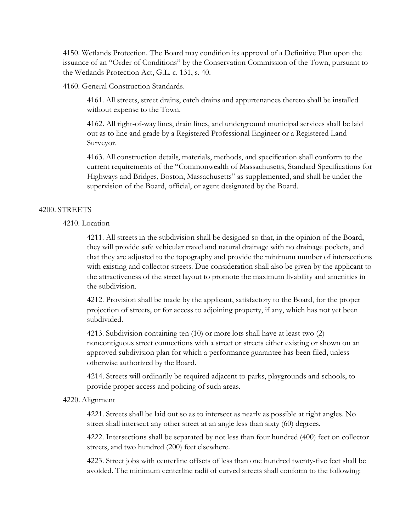4150. Wetlands Protection. The Board may condition its approval of a Definitive Plan upon the issuance of an "Order of Conditions" by the Conservation Commission of the Town, pursuant to the Wetlands Protection Act, G.L. c. 131, s. 40.

4160. General Construction Standards.

4161. All streets, street drains, catch drains and appurtenances thereto shall be installed without expense to the Town.

4162. All right-of-way lines, drain lines, and underground municipal services shall be laid out as to line and grade by a Registered Professional Engineer or a Registered Land Surveyor.

4163. All construction details, materials, methods, and specification shall conform to the current requirements of the "Commonwealth of Massachusetts, Standard Specifications for Highways and Bridges, Boston, Massachusetts" as supplemented, and shall be under the supervision of the Board, official, or agent designated by the Board.

### 4200. STREETS

### 4210. Location

4211. All streets in the subdivision shall be designed so that, in the opinion of the Board, they will provide safe vehicular travel and natural drainage with no drainage pockets, and that they are adjusted to the topography and provide the minimum number of intersections with existing and collector streets. Due consideration shall also be given by the applicant to the attractiveness of the street layout to promote the maximum livability and amenities in the subdivision.

4212. Provision shall be made by the applicant, satisfactory to the Board, for the proper projection of streets, or for access to adjoining property, if any, which has not yet been subdivided.

4213. Subdivision containing ten (10) or more lots shall have at least two (2) noncontiguous street connections with a street or streets either existing or shown on an approved subdivision plan for which a performance guarantee has been filed, unless otherwise authorized by the Board.

4214. Streets will ordinarily be required adjacent to parks, playgrounds and schools, to provide proper access and policing of such areas.

### 4220. Alignment

4221. Streets shall be laid out so as to intersect as nearly as possible at right angles. No street shall intersect any other street at an angle less than sixty (60) degrees.

4222. Intersections shall be separated by not less than four hundred (400) feet on collector streets, and two hundred (200) feet elsewhere.

4223. Street jobs with centerline offsets of less than one hundred twenty-five feet shall be avoided. The minimum centerline radii of curved streets shall conform to the following: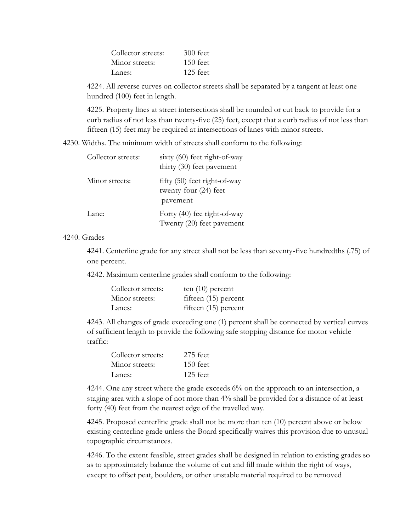| Collector streets: | $300$ feet |
|--------------------|------------|
| Minor streets:     | $150$ feet |
| Lanes:             | 125 feet   |

4224. All reverse curves on collector streets shall be separated by a tangent at least one hundred (100) feet in length.

4225. Property lines at street intersections shall be rounded or cut back to provide for a curb radius of not less than twenty-five (25) feet, except that a curb radius of not less than fifteen (15) feet may be required at intersections of lanes with minor streets.

4230. Widths. The minimum width of streets shall conform to the following:

| Collector streets: | sixty (60) feet right-of-way<br>thirty (30) feet pavement           |
|--------------------|---------------------------------------------------------------------|
| Minor streets:     | fifty $(50)$ feet right-of-way<br>twenty-four (24) feet<br>pavement |
| Lane:              | Forty (40) fee right-of-way<br>Twenty (20) feet pavement            |

### 4240. Grades

4241. Centerline grade for any street shall not be less than seventy-five hundredths (.75) of one percent.

4242. Maximum centerline grades shall conform to the following:

| Collector streets: | ten $(10)$ percent     |
|--------------------|------------------------|
| Minor streets:     | fifteen $(15)$ percent |
| Lanes:             | fifteen $(15)$ percent |

4243. All changes of grade exceeding one (1) percent shall be connected by vertical curves of sufficient length to provide the following safe stopping distance for motor vehicle traffic:

| Collector streets: | $275$ feet |
|--------------------|------------|
| Minor streets:     | $150$ feet |
| Lanes:             | $125$ feet |

4244. One any street where the grade exceeds 6% on the approach to an intersection, a staging area with a slope of not more than 4% shall be provided for a distance of at least forty (40) feet from the nearest edge of the travelled way.

4245. Proposed centerline grade shall not be more than ten (10) percent above or below existing centerline grade unless the Board specifically waives this provision due to unusual topographic circumstances.

4246. To the extent feasible, street grades shall be designed in relation to existing grades so as to approximately balance the volume of cut and fill made within the right of ways, except to offset peat, boulders, or other unstable material required to be removed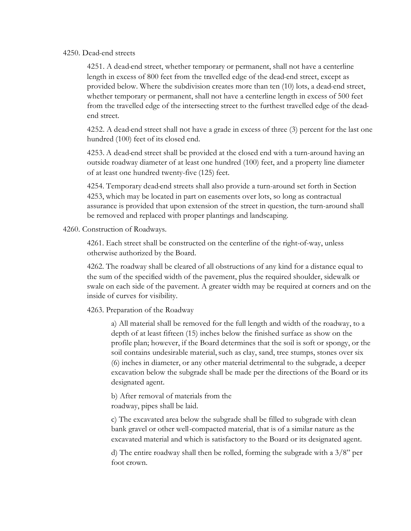### 4250. Dead-end streets

4251. A dead-end street, whether temporary or permanent, shall not have a centerline length in excess of 800 feet from the travelled edge of the dead-end street, except as provided below. Where the subdivision creates more than ten (10) lots, a dead-end street, whether temporary or permanent, shall not have a centerline length in excess of 500 feet from the travelled edge of the intersecting street to the furthest travelled edge of the deadend street.

4252. A dead-end street shall not have a grade in excess of three (3) percent for the last one hundred (100) feet of its closed end.

4253. A dead-end street shall be provided at the closed end with a turn-around having an outside roadway diameter of at least one hundred (100) feet, and a property line diameter of at least one hundred twenty-five (125) feet.

4254. Temporary dead-end streets shall also provide a turn-around set forth in Section 4253, which may be located in part on easements over lots, so long as contractual assurance is provided that upon extension of the street in question, the turn-around shall be removed and replaced with proper plantings and landscaping.

4260. Construction of Roadways.

4261. Each street shall be constructed on the centerline of the right-of-way, unless otherwise authorized by the Board.

4262. The roadway shall be cleared of all obstructions of any kind for a distance equal to the sum of the specified width of the pavement, plus the required shoulder, sidewalk or swale on each side of the pavement. A greater width may be required at corners and on the inside of curves for visibility.

4263. Preparation of the Roadway

a) All material shall be removed for the full length and width of the roadway, to a depth of at least fifteen (15) inches below the finished surface as show on the profile plan; however, if the Board determines that the soil is soft or spongy, or the soil contains undesirable material, such as clay, sand, tree stumps, stones over six (6) inches in diameter, or any other material detrimental to the subgrade, a deeper excavation below the subgrade shall be made per the directions of the Board or its designated agent.

 b) After removal of materials from the roadway, pipes shall be laid.

c) The excavated area below the subgrade shall be filled to subgrade with clean bank gravel or other well-compacted material, that is of a similar nature as the excavated material and which is satisfactory to the Board or its designated agent.

d) The entire roadway shall then be rolled, forming the subgrade with a  $3/8$ " per foot crown.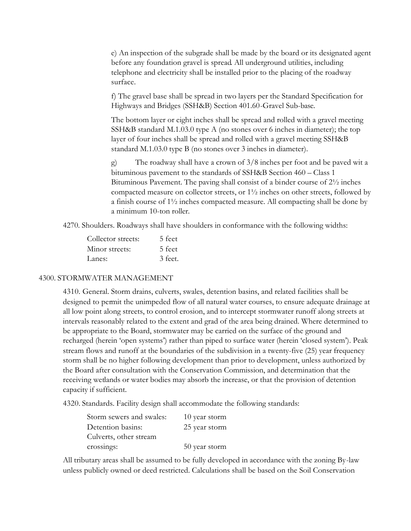e) An inspection of the subgrade shall be made by the board or its designated agent before any foundation gravel is spread. All underground utilities, including telephone and electricity shall be installed prior to the placing of the roadway surface.

f) The gravel base shall be spread in two layers per the Standard Specification for Highways and Bridges (SSH&B) Section 401.60-Gravel Sub-base.

The bottom layer or eight inches shall be spread and rolled with a gravel meeting SSH&B standard M.1.03.0 type A (no stones over 6 inches in diameter); the top layer of four inches shall be spread and rolled with a gravel meeting SSH&B standard M.1.03.0 type B (no stones over 3 inches in diameter).

g) The roadway shall have a crown of 3/8 inches per foot and be paved wit a bituminous pavement to the standards of SSH&B Section 460 – Class 1 Bituminous Pavement. The paving shall consist of a binder course of 2½ inches compacted measure on collector streets, or  $1\frac{1}{2}$  inches on other streets, followed by a finish course of 1½ inches compacted measure. All compacting shall be done by a minimum 10-ton roller.

4270. Shoulders. Roadways shall have shoulders in conformance with the following widths:

| Collector streets: | 5 feet  |
|--------------------|---------|
| Minor streets:     | 5 feet  |
| Lanes:             | 3 feet. |

### 4300. STORMWATER MANAGEMENT

4310. General. Storm drains, culverts, swales, detention basins, and related facilities shall be designed to permit the unimpeded flow of all natural water courses, to ensure adequate drainage at all low point along streets, to control erosion, and to intercept stormwater runoff along streets at intervals reasonably related to the extent and grad of the area being drained. Where determined to be appropriate to the Board, stormwater may be carried on the surface of the ground and recharged (herein 'open systems') rather than piped to surface water (herein 'closed system'). Peak stream flows and runoff at the boundaries of the subdivision in a twenty-five (25) year frequency storm shall be no higher following development than prior to development, unless authorized by the Board after consultation with the Conservation Commission, and determination that the receiving wetlands or water bodies may absorb the increase, or that the provision of detention capacity if sufficient.

4320. Standards. Facility design shall accommodate the following standards:

| Storm sewers and swales: | 10 year storm |
|--------------------------|---------------|
| Detention basins:        | 25 year storm |
| Culverts, other stream   |               |
| crossings:               | 50 year storm |

All tributary areas shall be assumed to be fully developed in accordance with the zoning By-law unless publicly owned or deed restricted. Calculations shall be based on the Soil Conservation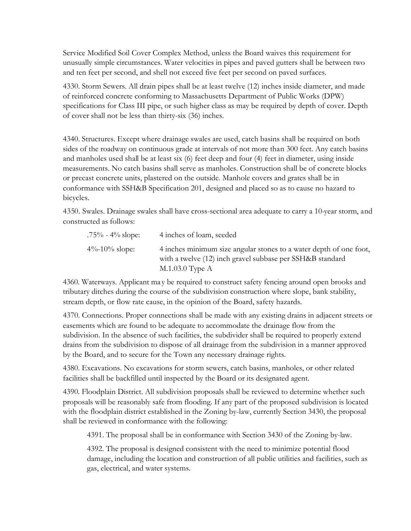Service Modified Soil Cover Complex Method, unless the Board waives this requirement for unusually simple circumstances. Water velocities in pipes and paved gutters shall be between two and ten feet per second, and shell not exceed five feet per second on paved surfaces.

4330. Storm Sewers. All drain pipes shall be at least twelve (12) inches inside diameter, and made of reinforced concrete conforming to Massachusetts Department of Public Works (DPW) specifications for Class III pipe, or such higher class as may be required by depth of cover. Depth of cover shall not be less than thirty-six (36) inches.

4340. Structures. Except where drainage swales are used, catch basins shall be required on both sides of the roadway on continuous grade at intervals of not more than 300 feet. Any catch basins and manholes used shall be at least six (6) feet deep and four (4) feet in diameter, using inside measurements. No catch basins shall serve as manholes. Construction shall be of concrete blocks or precast concrete units, plastered on the outside. Manhole covers and grates shall be in conformance with SSH&B Specification 201, designed and placed so as to cause no hazard to bicycles.

4350. Swales. Drainage swales shall have cross-sectional area adequate to carry a 10-year storm, and constructed as follows:

| $.75\%$ - 4% slope: | 4 inches of loam, seeded                                                                                                                             |
|---------------------|------------------------------------------------------------------------------------------------------------------------------------------------------|
| 4\%-10\% slope:     | 4 inches minimum size angular stones to a water depth of one foot,<br>with a twelve (12) inch gravel subbase per SSH&B standard<br>$M.1.03.0$ Type A |

4360. Waterways. Applicant ma y be required to construct safety fencing around open brooks and tributary ditches during the course of the subdivision construction where slope, bank stability, stream depth, or flow rate cause, in the opinion of the Board, safety hazards.

4370. Connections. Proper connections shall be made with any existing drains in adjacent streets or easements which are found to be adequate to accommodate the drainage flow from the subdivision. In the absence of such facilities, the subdivider shall be required to properly extend drains from the subdivision to dispose of all drainage from the subdivision in a manner approved by the Board, and to secure for the Town any necessary drainage rights.

4380. Excavations. No excavations for storm sewers, catch basins, manholes, or other related facilities shall be backfilled until inspected by the Board or its designated agent.

4390. Floodplain District. All subdivision proposals shall be reviewed to determine whether such proposals will be reasonably safe from flooding. If any part of the proposed subdivision is located with the floodplain district established in the Zoning by-law, currently Section 3430, the proposal shall be reviewed in conformance with the following:

4391. The proposal shall be in conformance with Section 3430 of the Zoning by-law.

4392. The proposal is designed consistent with the need to minimize potential flood damage, including the location and construction of all public utilities and facilities, such as gas, electrical, and water systems.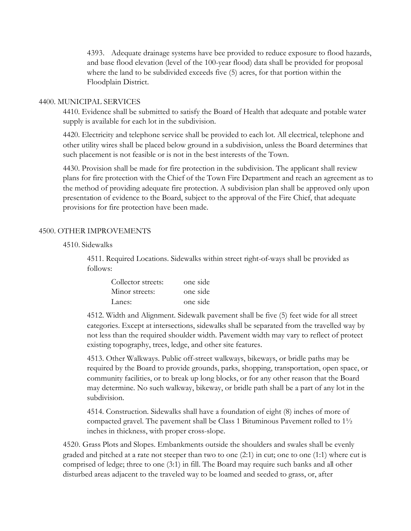4393. Adequate drainage systems have bee provided to reduce exposure to flood hazards, and base flood elevation (level of the 100-year flood) data shall be provided for proposal where the land to be subdivided exceeds five (5) acres, for that portion within the Floodplain District.

### 4400. MUNICIPAL SERVICES

4410. Evidence shall be submitted to satisfy the Board of Health that adequate and potable water supply is available for each lot in the subdivision.

4420. Electricity and telephone service shall be provided to each lot. All electrical, telephone and other utility wires shall be placed below ground in a subdivision, unless the Board determines that such placement is not feasible or is not in the best interests of the Town.

4430. Provision shall be made for fire protection in the subdivision. The applicant shall review plans for fire protection with the Chief of the Town Fire Department and reach an agreement as to the method of providing adequate fire protection. A subdivision plan shall be approved only upon presentation of evidence to the Board, subject to the approval of the Fire Chief, that adequate provisions for fire protection have been made.

### 4500. OTHER IMPROVEMENTS

### 4510. Sidewalks

4511. Required Locations. Sidewalks within street right-of-ways shall be provided as follows:

| Collector streets: | one side |
|--------------------|----------|
| Minor streets:     | one side |
| Lanes:             | one side |

4512. Width and Alignment. Sidewalk pavement shall be five (5) feet wide for all street categories. Except at intersections, sidewalks shall be separated from the travelled way by not less than the required shoulder width. Pavement width may vary to reflect of protect existing topography, trees, ledge, and other site features.

4513. Other Walkways. Public off-street walkways, bikeways, or bridle paths may be required by the Board to provide grounds, parks, shopping, transportation, open space, or community facilities, or to break up long blocks, or for any other reason that the Board may determine. No such walkway, bikeway, or bridle path shall be a part of any lot in the subdivision.

4514. Construction. Sidewalks shall have a foundation of eight (8) inches of more of compacted gravel. The pavement shall be Class 1 Bituminous Pavement rolled to 1½ inches in thickness, with proper cross-slope.

4520. Grass Plots and Slopes. Embankments outside the shoulders and swales shall be evenly graded and pitched at a rate not steeper than two to one (2:1) in cut; one to one (1:1) where cut is comprised of ledge; three to one (3:1) in fill. The Board may require such banks and all other disturbed areas adjacent to the traveled way to be loamed and seeded to grass, or, after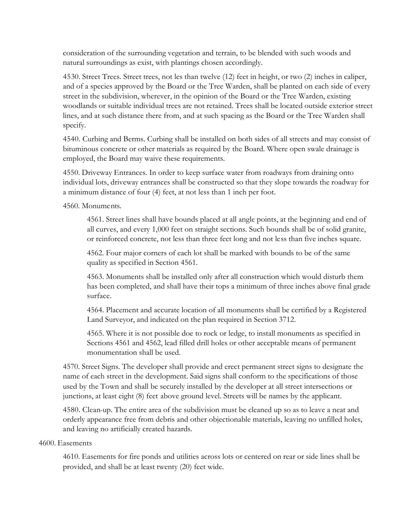consideration of the surrounding vegetation and terrain, to be blended with such woods and natural surroundings as exist, with plantings chosen accordingly.

4530. Street Trees. Street trees, not les than twelve (12) feet in height, or two (2) inches in caliper, and of a species approved by the Board or the Tree Warden, shall be planted on each side of every street in the subdivision, wherever, in the opinion of the Board or the Tree Warden, existing woodlands or suitable individual trees are not retained. Trees shall be located outside exterior street lines, and at such distance there from, and at such spacing as the Board or the Tree Warden shall specify.

4540. Curbing and Berms. Curbing shall be installed on both sides of all streets and may consist of bituminous concrete or other materials as required by the Board. Where open swale drainage is employed, the Board may waive these requirements.

4550. Driveway Entrances. In order to keep surface water from roadways from draining onto individual lots, driveway entrances shall be constructed so that they slope towards the roadway for a minimum distance of four (4) feet, at not less than 1 inch per foot.

4560. Monuments.

4561. Street lines shall have bounds placed at all angle points, at the beginning and end of all curves, and every 1,000 feet on straight sections. Such bounds shall be of solid granite, or reinforced concrete, not less than three feet long and not less than five inches square.

4562. Four major corners of each lot shall be marked with bounds to be of the same quality as specified in Section 4561.

4563. Monuments shall be installed only after all construction which would disturb them has been completed, and shall have their tops a minimum of three inches above final grade surface.

4564. Placement and accurate location of all monuments shall be certified by a Registered Land Surveyor, and indicated on the plan required in Section 3712.

4565. Where it is not possible doe to rock or ledge, to install monuments as specified in Sections 4561 and 4562, lead filled drill holes or other acceptable means of permanent monumentation shall be used.

4570. Street Signs. The developer shall provide and erect permanent street signs to designate the name of each street in the development. Said signs shall conform to the specifications of those used by the Town and shall be securely installed by the developer at all street intersections or junctions, at least eight (8) feet above ground level. Streets will be names by the applicant.

4580. Clean-up. The entire area of the subdivision must be cleaned up so as to leave a neat and orderly appearance free from debris and other objectionable materials, leaving no unfilled holes, and leaving no artificially created hazards.

### 4600. Easements

4610. Easements for fire ponds and utilities across lots or centered on rear or side lines shall be provided, and shall be at least twenty (20) feet wide.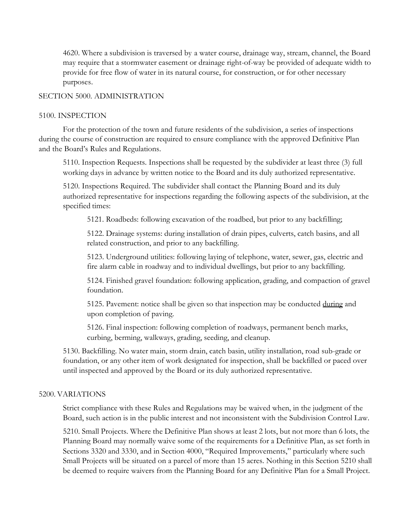4620. Where a subdivision is traversed by a water course, drainage way, stream, channel, the Board may require that a stormwater easement or drainage right-of-way be provided of adequate width to provide for free flow of water in its natural course, for construction, or for other necessary purposes.

### SECTION 5000. ADMINISTRATION

### 5100. INSPECTION

For the protection of the town and future residents of the subdivision, a series of inspections during the course of construction are required to ensure compliance with the approved Definitive Plan and the Board's Rules and Regulations.

5110. Inspection Requests. Inspections shall be requested by the subdivider at least three (3) full working days in advance by written notice to the Board and its duly authorized representative.

5120. Inspections Required. The subdivider shall contact the Planning Board and its duly authorized representative for inspections regarding the following aspects of the subdivision, at the specified times:

5121. Roadbeds: following excavation of the roadbed, but prior to any backfilling;

5122. Drainage systems: during installation of drain pipes, culverts, catch basins, and all related construction, and prior to any backfilling.

5123. Underground utilities: following laying of telephone, water, sewer, gas, electric and fire alarm cable in roadway and to individual dwellings, but prior to any backfilling.

5124. Finished gravel foundation: following application, grading, and compaction of gravel foundation.

5125. Pavement: notice shall be given so that inspection may be conducted during and upon completion of paving.

5126. Final inspection: following completion of roadways, permanent bench marks, curbing, berming, walkways, grading, seeding, and cleanup.

5130. Backfilling. No water main, storm drain, catch basin, utility installation, road sub-grade or foundation, or any other item of work designated for inspection, shall be backfilled or paced over until inspected and approved by the Board or its duly authorized representative.

### 5200. VARIATIONS

Strict compliance with these Rules and Regulations may be waived when, in the judgment of the Board, such action is in the public interest and not inconsistent with the Subdivision Control Law.

5210. Small Projects. Where the Definitive Plan shows at least 2 lots, but not more than 6 lots, the Planning Board may normally waive some of the requirements for a Definitive Plan, as set forth in Sections 3320 and 3330, and in Section 4000, "Required Improvements," particularly where such Small Projects will be situated on a parcel of more than 15 acres. Nothing in this Section 5210 shall be deemed to require waivers from the Planning Board for any Definitive Plan for a Small Project.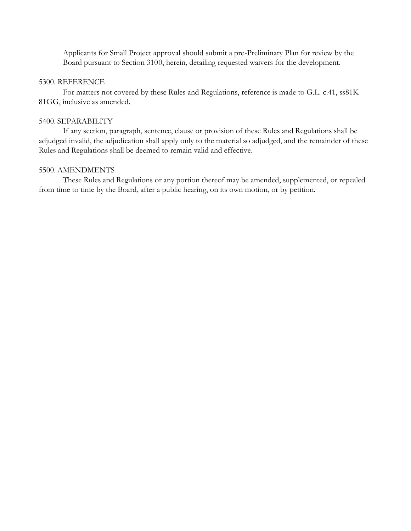Applicants for Small Project approval should submit a pre-Preliminary Plan for review by the Board pursuant to Section 3100, herein, detailing requested waivers for the development.

### 5300. REFERENCE

For matters not covered by these Rules and Regulations, reference is made to G.L. c.41, ss81K-81GG, inclusive as amended.

### 5400. SEPARABILITY

If any section, paragraph, sentence, clause or provision of these Rules and Regulations shall be adjudged invalid, the adjudication shall apply only to the material so adjudged, and the remainder of these Rules and Regulations shall be deemed to remain valid and effective.

### 5500. AMENDMENTS

These Rules and Regulations or any portion thereof may be amended, supplemented, or repealed from time to time by the Board, after a public hearing, on its own motion, or by petition.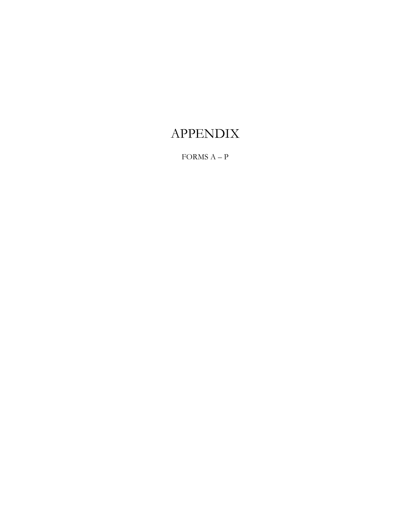# APPENDIX

FORMS A – P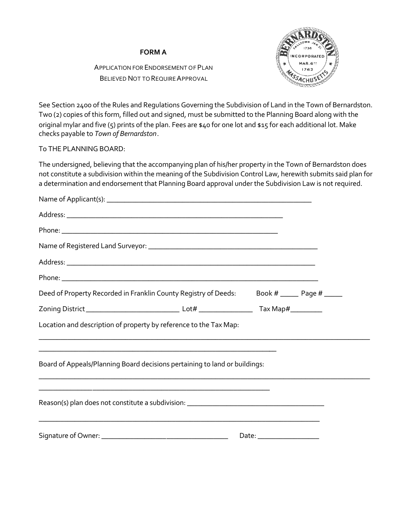### **FORM A**

# APPLICATION FOR ENDORSEMENT OF PLAN BELIEVED NOT TO REQUIRE APPROVAL



See Section 2400 of the Rules and Regulations Governing the Subdivision of Land in the Town of Bernardston. Two (2) copies of this form, filled out and signed, must be submitted to the Planning Board along with the original mylar and five (5) prints of the plan. Fees are \$40 for one lot and \$15 for each additional lot. Make checks payable to *Town of Bernardston*.

### To THE PLANNING BOARD:

The undersigned, believing that the accompanying plan of his/her property in the Town of Bernardston does not constitute a subdivision within the meaning of the Subdivision Control Law, herewith submits said plan for a determination and endorsement that Planning Board approval under the Subdivision Law is not required.

| Deed of Property Recorded in Franklin County Registry of Deeds: Book # _____ Page # ____                                                                                                                                                                                                                                          |  |
|-----------------------------------------------------------------------------------------------------------------------------------------------------------------------------------------------------------------------------------------------------------------------------------------------------------------------------------|--|
|                                                                                                                                                                                                                                                                                                                                   |  |
| Location and description of property by reference to the Tax Map:                                                                                                                                                                                                                                                                 |  |
| and the control of the control of the control of the control of the control of the control of the control of the<br>Board of Appeals/Planning Board decisions pertaining to land or buildings:                                                                                                                                    |  |
| <u> 1980 - Jan James James James James James James James James James James James James James James James James J</u><br>Reason(s) plan does not constitute a subdivision: _______________________________<br><u> 1989 - Johann John Harry Harry Harry Harry Harry Harry Harry Harry Harry Harry Harry Harry Harry Harry Harry</u> |  |
|                                                                                                                                                                                                                                                                                                                                   |  |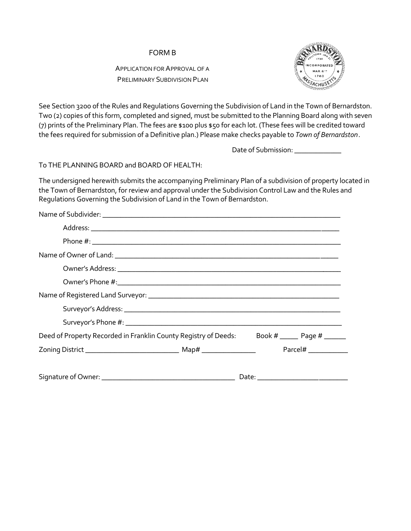APPLICATION FOR APPROVAL OF A PRELIMINARY SUBDIVISION PLAN



See Section 3200 of the Rules and Regulations Governing the Subdivision of Land in the Town of Bernardston. Two (2) copies of this form, completed and signed, must be submitted to the Planning Board along with seven (7) prints of the Preliminary Plan. The fees are \$100 plus \$50 for each lot. (These fees will be credited toward the fees required for submission of a Definitive plan.) Please make checks payable to *Town of Bernardston*.

Date of Submission: \_\_\_\_\_\_\_\_\_\_\_\_

To THE PLANNING BOARD and BOARD OF HEALTH:

The undersigned herewith submits the accompanying Preliminary Plan of a subdivision of property located in the Town of Bernardston, for review and approval under the Subdivision Control Law and the Rules and Regulations Governing the Subdivision of Land in the Town of Bernardston.

| Name of Registered Land Surveyor: Name of Registered Land Surveyor:                       |                                |  |
|-------------------------------------------------------------------------------------------|--------------------------------|--|
|                                                                                           |                                |  |
|                                                                                           |                                |  |
| Deed of Property Recorded in Franklin County Registry of Deeds: Book # _____ Page # _____ |                                |  |
|                                                                                           |                                |  |
|                                                                                           | Date: $\overline{\phantom{a}}$ |  |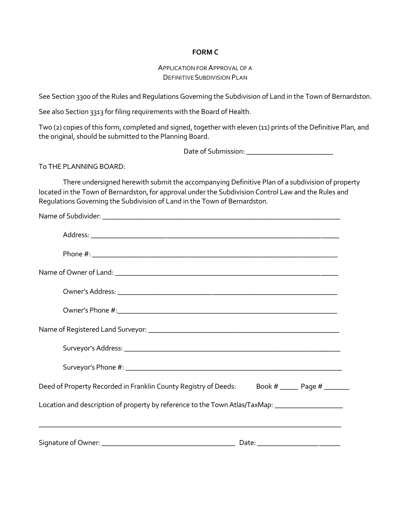### **FORM C**

### APPLICATION FOR APPROVAL OF A DEFINITIVE SUBDIVISION PLAN

See Section 3300 of the Rules and Regulations Governing the Subdivision of Land in the Town of Bernardston.

See also Section 3313 for filing requirements with the Board of Health.

Two (2) copies of this form, completed and signed, together with eleven (11) prints of the Definitive Plan, and the original, should be submitted to the Planning Board.

Date of Submission: \_\_\_\_\_\_\_\_\_\_\_\_\_\_\_\_\_\_\_\_\_\_\_\_

To THE PLANNING BOARD:

There undersigned herewith submit the accompanying Definitive Plan of a subdivision of property located in the Town of Bernardston, for approval under the Subdivision Control Law and the Rules and Regulations Governing the Subdivision of Land in the Town of Bernardston.

| Deed of Property Recorded in Franklin County Registry of Deeds: Book # _____ Page # ______          |  |
|-----------------------------------------------------------------------------------------------------|--|
| Location and description of property by reference to the Town Atlas/TaxMap: _______________________ |  |
|                                                                                                     |  |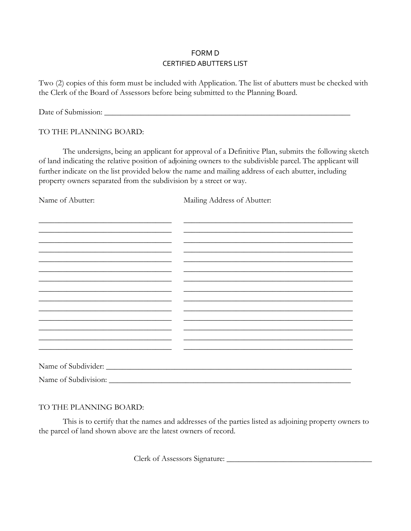### FORM D CERTIFIED ABUTTERS LIST

Two (2) copies of this form must be included with Application. The list of abutters must be checked with the Clerk of the Board of Assessors before being submitted to the Planning Board.

Date of Submission: \_\_\_\_\_\_\_\_\_\_\_\_\_\_\_\_\_\_\_\_\_\_\_\_\_\_\_\_\_\_\_\_\_\_\_\_\_\_\_\_\_\_\_\_\_\_\_\_\_\_\_\_\_\_\_\_\_\_\_\_\_

### TO THE PLANNING BOARD:

The undersigns, being an applicant for approval of a Definitive Plan, submits the following sketch of land indicating the relative position of adjoining owners to the subdivisble parcel. The applicant will further indicate on the list provided below the name and mailing address of each abutter, including property owners separated from the subdivision by a street or way.

Name of Abutter: Mailing Address of Abutter:

| <u> 1989 - Johann John Stone, markin sanat masjid a shekara 1989 - John Stone Barbara a shekara 1989 - John Stone</u> |  |
|-----------------------------------------------------------------------------------------------------------------------|--|
|                                                                                                                       |  |
|                                                                                                                       |  |
|                                                                                                                       |  |
|                                                                                                                       |  |
|                                                                                                                       |  |
|                                                                                                                       |  |

### TO THE PLANNING BOARD:

This is to certify that the names and addresses of the parties listed as adjoining property owners to the parcel of land shown above are the latest owners of record.

Clerk of Assessors Signature: \_\_\_\_\_\_\_\_\_\_\_\_\_\_\_\_\_\_\_\_\_\_\_\_\_\_\_\_\_\_\_\_\_\_\_\_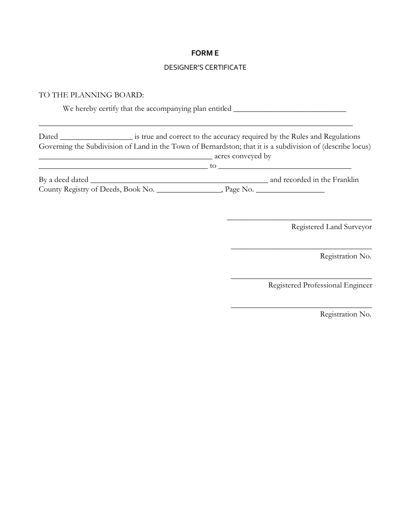### **FORM E**

### DESIGNER'S CERTIFICATE

### TO THE PLANNING BOARD:

We hereby certify that the accompanying plan entitled \_\_\_\_\_\_\_\_\_\_\_\_\_\_\_\_\_\_\_\_\_\_\_\_\_\_

\_\_\_\_\_\_\_\_\_\_\_\_\_\_\_\_\_\_\_\_\_\_\_\_\_\_\_\_\_\_\_\_\_\_\_\_\_\_\_\_\_\_\_\_\_\_\_\_\_\_\_\_\_\_\_\_\_\_\_\_\_\_\_\_\_\_\_\_\_\_\_\_\_\_\_\_\_\_

Dated \_\_\_\_\_\_\_\_\_\_\_\_\_\_\_\_\_\_ is true and correct to the accuracy required by the Rules and Regulations Governing the Subdivision of Land in the Town of Bernardston; that it is a subdivision of (describe locus) \_\_\_\_\_\_\_\_\_\_\_\_\_\_\_\_\_\_\_\_\_\_\_\_\_\_\_\_\_\_\_\_\_\_\_\_\_\_\_\_\_\_\_ acres conveyed by \_\_\_\_\_\_\_\_\_\_\_\_\_\_\_\_\_\_\_\_\_\_\_\_\_\_\_\_\_\_\_\_\_\_\_\_\_\_\_\_\_\_ to \_\_\_\_\_\_\_\_\_\_\_\_\_\_\_\_\_\_\_\_\_\_\_\_\_\_\_\_\_\_\_\_\_

| By a deed dated                    |            | and recorded in the Franklin |
|------------------------------------|------------|------------------------------|
| County Registry of Deeds, Book No. | , Page No. |                              |

Registered Land Surveyor

\_\_\_\_\_\_\_\_\_\_\_\_\_\_\_\_\_\_\_\_\_\_\_\_\_\_\_\_\_\_\_\_\_\_\_\_

\_\_\_\_\_\_\_\_\_\_\_\_\_\_\_\_\_\_\_\_\_\_\_\_\_\_\_\_\_\_\_\_\_\_\_

\_\_\_\_\_\_\_\_\_\_\_\_\_\_\_\_\_\_\_\_\_\_\_\_\_\_\_\_\_\_\_\_\_\_\_

\_\_\_\_\_\_\_\_\_\_\_\_\_\_\_\_\_\_\_\_\_\_\_\_\_\_\_\_\_\_\_\_\_\_\_

Registration No.

Registered Professional Engineer

Registration No.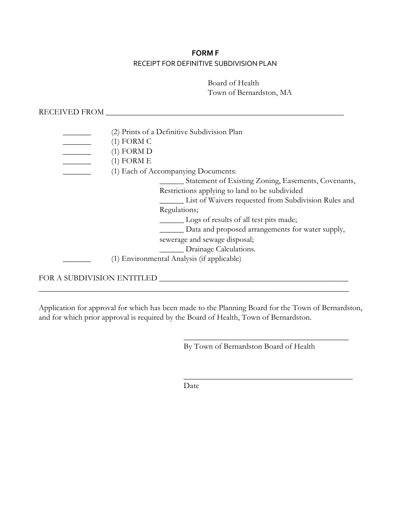# **FORM F** RECEIPT FOR DEFINITIVE SUBDIVISION PLAN

Board of Health Town of Bernardston, MA

RECEIVED FROM \_\_\_\_\_\_\_\_\_\_\_\_\_\_\_\_\_\_\_\_\_\_\_\_\_\_\_\_\_\_\_\_\_\_\_\_\_\_\_\_\_\_\_\_\_\_\_\_\_\_\_\_\_\_\_\_\_\_\_

|                            | (2) Prints of a Definitive Subdivision Plan          |
|----------------------------|------------------------------------------------------|
|                            | $(1)$ FORM C                                         |
|                            | $(1)$ FORM D                                         |
|                            | $(1)$ FORM E                                         |
|                            | (1) Each of Accompanying Documents:                  |
|                            | Statement of Existing Zoning, Easements, Covenants,  |
|                            | Restrictions applying to land to be subdivided       |
|                            | List of Waivers requested from Subdivision Rules and |
|                            | Regulations;                                         |
|                            | Logs of results of all test pits made;               |
|                            | Data and proposed arrangements for water supply,     |
|                            | sewerage and sewage disposal;                        |
|                            | __ Drainage Calculations.                            |
|                            | (1) Environmental Analysis (if applicable)           |
|                            |                                                      |
| FOR A SUBDIVISION ENTITLED |                                                      |

Application for approval for which has been made to the Planning Board for the Town of Bernardston, and for which prior approval is required by the Board of Health, Town of Bernardston.

\_\_\_\_\_\_\_\_\_\_\_\_\_\_\_\_\_\_\_\_\_\_\_\_\_\_\_\_\_\_\_\_\_\_\_\_\_\_\_\_\_\_\_\_\_\_\_\_\_\_\_\_\_\_\_\_\_\_\_\_\_\_\_\_\_\_\_\_\_\_\_\_\_\_\_\_\_

By Town of Bernardston Board of Health

 $\overline{\phantom{a}}$  , where  $\overline{\phantom{a}}$  , where  $\overline{\phantom{a}}$  ,  $\overline{\phantom{a}}$  ,  $\overline{\phantom{a}}$  ,  $\overline{\phantom{a}}$  ,  $\overline{\phantom{a}}$  ,  $\overline{\phantom{a}}$  ,  $\overline{\phantom{a}}$  ,  $\overline{\phantom{a}}$  ,  $\overline{\phantom{a}}$  ,  $\overline{\phantom{a}}$  ,  $\overline{\phantom{a}}$  ,  $\overline{\phantom{a}}$  ,  $\overline{\phantom{a}}$  ,

\_\_\_\_\_\_\_\_\_\_\_\_\_\_\_\_\_\_\_\_\_\_\_\_\_\_\_\_\_\_\_\_\_\_\_\_\_\_\_\_\_\_

Date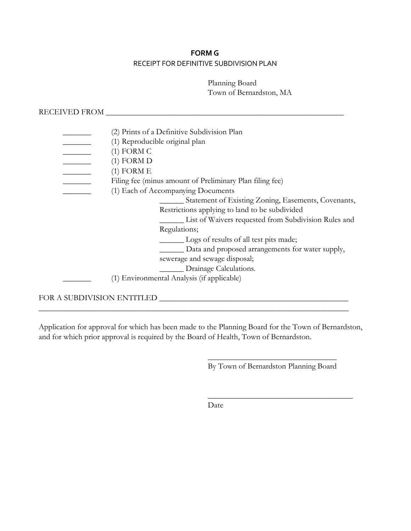# **FORM G** RECEIPT FOR DEFINITIVE SUBDIVISION PLAN

Planning Board Town of Bernardston, MA

RECEIVED FROM \_\_\_\_\_\_\_\_\_\_\_\_\_\_\_\_\_\_\_\_\_\_\_\_\_\_\_\_\_\_\_\_\_\_\_\_\_\_\_\_\_\_\_\_\_\_\_\_\_\_\_\_\_\_\_\_\_\_\_

|                            | (2) Prints of a Definitive Subdivision Plan              |
|----------------------------|----------------------------------------------------------|
|                            | (1) Reproducible original plan                           |
|                            | $(1)$ FORM C                                             |
|                            | $(1)$ FORM D                                             |
|                            | $(1)$ FORM E                                             |
|                            | Filing fee (minus amount of Preliminary Plan filing fee) |
|                            | (1) Each of Accompanying Documents                       |
|                            | Statement of Existing Zoning, Easements, Covenants,      |
|                            | Restrictions applying to land to be subdivided           |
|                            | List of Waivers requested from Subdivision Rules and     |
|                            | Regulations;                                             |
|                            | Logs of results of all test pits made;                   |
|                            | Data and proposed arrangements for water supply,         |
|                            | sewerage and sewage disposal;                            |
|                            | __ Drainage Calculations.                                |
|                            | (1) Environmental Analysis (if applicable)               |
|                            |                                                          |
| FOR A SUBDIVISION ENTITLED |                                                          |

Application for approval for which has been made to the Planning Board for the Town of Bernardston, and for which prior approval is required by the Board of Health, Town of Bernardston.

\_\_\_\_\_\_\_\_\_\_\_\_\_\_\_\_\_\_\_\_\_\_\_\_\_\_\_\_\_\_\_\_\_\_\_\_\_\_\_\_\_\_\_\_\_\_\_\_\_\_\_\_\_\_\_\_\_\_\_\_\_\_\_\_\_\_\_\_\_\_\_\_\_\_\_\_\_

 $\overline{\phantom{a}}$  , where  $\overline{\phantom{a}}$  , where  $\overline{\phantom{a}}$  , where  $\overline{\phantom{a}}$ By Town of Bernardston Planning Board

\_\_\_\_\_\_\_\_\_\_\_\_\_\_\_\_\_\_\_\_\_\_\_\_\_\_\_\_\_\_\_\_\_\_\_\_

Date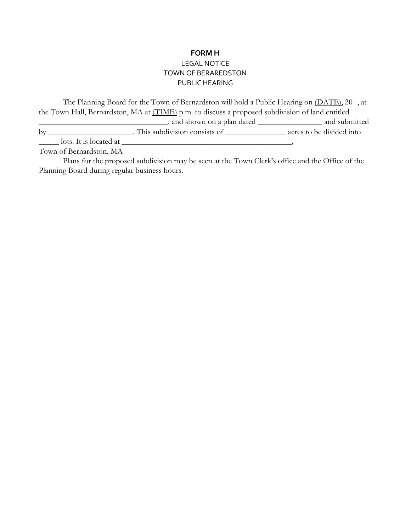# **FORM H** LEGAL NOTICE TOWN OF BERAREDSTON PUBLIC HEARING

The Planning Board for the Town of Bernardston will hold a Public Hearing on (DATE), 20--, at the Town Hall, Bernardston, MA at (TIME) p.m. to discuss a proposed subdivision of land entitled \_\_\_\_\_\_\_\_\_\_\_\_\_\_\_\_\_\_\_\_\_\_\_\_\_\_\_\_\_\_\_\_, and shown on a plan dated \_\_\_\_\_\_\_\_\_\_\_\_\_\_\_\_ and submitted by \_\_\_\_\_\_\_\_\_\_\_\_\_\_\_\_\_\_\_\_\_. This subdivision consists of \_\_\_\_\_\_\_\_\_\_\_\_\_\_\_\_\_\_\_\_\_\_\_ acres to be divided into

\_\_\_\_\_ lots. It is located at \_\_\_\_\_\_\_\_\_\_\_\_\_\_\_\_\_\_\_\_\_\_\_\_\_\_\_\_\_\_\_\_\_\_\_\_\_\_\_\_\_\_,

Town of Bernardston, MA

Plans for the proposed subdivision may be seen at the Town Clerk's office and the Office of the Planning Board during regular business hours.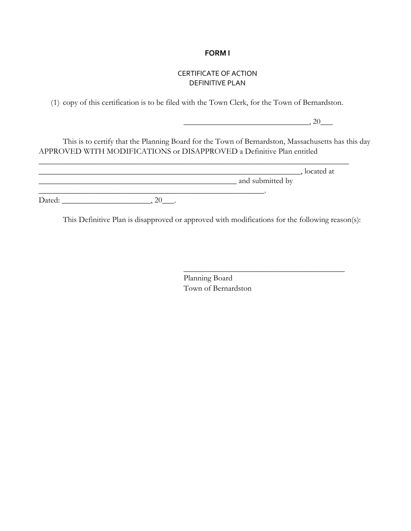### **FORM I**

### CERTIFICATE OF ACTION DEFINITIVE PLAN

(1) copy of this certification is to be filed with the Town Clerk, for the Town of Bernardston.

 $\frac{1}{20}$ , 20 $\frac{1}{20}$ 

 $\overline{\phantom{a}}$  , where  $\overline{\phantom{a}}$  , where  $\overline{\phantom{a}}$  ,  $\overline{\phantom{a}}$  ,  $\overline{\phantom{a}}$  ,  $\overline{\phantom{a}}$  ,  $\overline{\phantom{a}}$  ,  $\overline{\phantom{a}}$  ,  $\overline{\phantom{a}}$  ,  $\overline{\phantom{a}}$  ,  $\overline{\phantom{a}}$  ,  $\overline{\phantom{a}}$  ,  $\overline{\phantom{a}}$  ,  $\overline{\phantom{a}}$  ,  $\overline{\phantom{a}}$  ,

This is to certify that the Planning Board for the Town of Bernardston, Massachusetts has this day APPROVED WITH MODIFICATIONS or DISAPPROVED a Definitive Plan entitled

|        |                  | located at |
|--------|------------------|------------|
|        | and submitted by |            |
|        |                  |            |
| Dated: |                  |            |

This Definitive Plan is disapproved or approved with modifications for the following reason(s):

Planning Board Town of Bernardston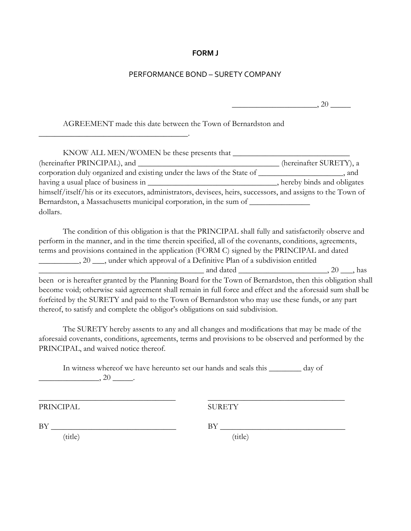### **FORM J**

### PERFORMANCE BOND – SURETY COMPANY

 $\overline{\phantom{a}}$ , 20  $\overline{\phantom{a}}$ 

AGREEMENT made this date between the Town of Bernardston and

\_\_\_\_\_\_\_\_\_\_\_\_\_\_\_\_\_\_\_\_\_\_\_\_\_\_\_\_\_\_\_\_\_\_\_\_\_.

| KNOW ALL MEN/WOMEN be these presents that                                                                    |                            |
|--------------------------------------------------------------------------------------------------------------|----------------------------|
| (hereinafter PRINCIPAL), and                                                                                 | (hereinafter SURETY), a    |
| corporation duly organized and existing under the laws of the State of                                       | , and                      |
|                                                                                                              | hereby binds and obligates |
| himself/itself/his or its executors, administrators, devisees, heirs, successors, and assigns to the Town of |                            |
| Bernardston, a Massachusetts municipal corporation, in the sum of                                            |                            |
| dollars.                                                                                                     |                            |

The condition of this obligation is that the PRINCIPAL shall fully and satisfactorily observe and perform in the manner, and in the time therein specified, all of the covenants, conditions, agreements, terms and provisions contained in the application (FORM C) signed by the PRINCIPAL and dated 20 \_\_\_\_\_\_\_\_\_, 20 \_\_\_, under which approval of a Definitive Plan of a subdivision entitled \_\_\_\_\_\_\_\_\_\_\_\_\_\_\_\_\_\_\_\_\_\_\_\_\_\_\_\_\_\_\_\_\_\_\_\_\_\_\_\_\_ and dated \_\_\_\_\_\_\_\_\_\_\_\_\_\_\_\_\_\_\_\_\_\_, 20 \_\_\_, has

been or is hereafter granted by the Planning Board for the Town of Bernardston, then this obligation shall become void; otherwise said agreement shall remain in full force and effect and the aforesaid sum shall be forfeited by the SURETY and paid to the Town of Bernardston who may use these funds, or any part thereof, to satisfy and complete the obligor's obligations on said subdivision.

The SURETY hereby assents to any and all changes and modifications that may be made of the aforesaid covenants, conditions, agreements, terms and provisions to be observed and performed by the PRINCIPAL, and waived notice thereof.

In witness whereof we have hereunto set our hands and seals this \_\_\_\_\_\_\_\_ day of  $\frac{1}{20}$ ,  $20$   $\frac{1}{20}$ .

 $\overline{\phantom{a}}$  , and the contribution of the contribution of the contribution of the contribution of the contribution of the contribution of the contribution of the contribution of the contribution of the contribution of the

PRINCIPAL SURETY

BY \_\_\_\_\_\_\_\_\_\_\_\_\_\_\_\_\_\_\_\_\_\_\_\_\_\_\_\_\_\_\_ BY \_\_\_\_\_\_\_\_\_\_\_\_\_\_\_\_\_\_\_\_\_\_\_\_\_\_\_\_\_\_\_

(title) (title)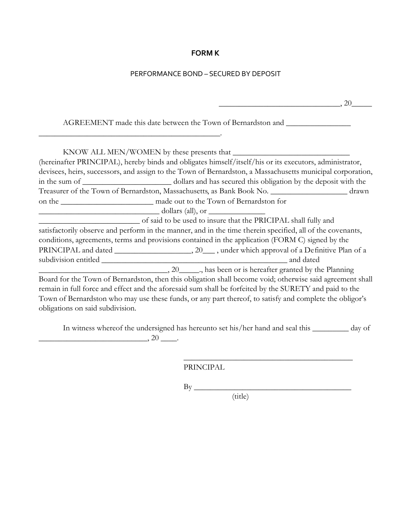# **FORM K**

# PERFORMANCE BOND – SECURED BY DEPOSIT

| , 20                                                                                                                                                                                                                                                                                                                                                               |
|--------------------------------------------------------------------------------------------------------------------------------------------------------------------------------------------------------------------------------------------------------------------------------------------------------------------------------------------------------------------|
| AGREEMENT made this date between the Town of Bernardston and                                                                                                                                                                                                                                                                                                       |
|                                                                                                                                                                                                                                                                                                                                                                    |
| (hereinafter PRINCIPAL), hereby binds and obligates himself/itself/his or its executors, administrator,<br>devisees, heirs, successors, and assign to the Town of Bernardston, a Massachusetts municipal corporation,                                                                                                                                              |
|                                                                                                                                                                                                                                                                                                                                                                    |
| Treasurer of the Town of Bernardston, Massachusetts, as Bank Book No. _______________________ drawn                                                                                                                                                                                                                                                                |
|                                                                                                                                                                                                                                                                                                                                                                    |
| $\frac{1}{2}$ dollars (all), or $\frac{1}{2}$                                                                                                                                                                                                                                                                                                                      |
| of said to be used to insure that the PRICIPAL shall fully and<br>satisfactorily observe and perform in the manner, and in the time therein specified, all of the covenants,<br>conditions, agreements, terms and provisions contained in the application (FORM C) signed by the<br>$20$ , has been or is hereafter granted by the Planning                        |
| Board for the Town of Bernardston, then this obligation shall become void; otherwise said agreement shall<br>remain in full force and effect and the aforesaid sum shall be forfeited by the SURETY and paid to the<br>Town of Bernardston who may use these funds, or any part thereof, to satisfy and complete the obligor's<br>obligations on said subdivision. |

In witness whereof the undersigned has hereunto set his/her hand and seal this \_\_\_\_\_\_\_\_\_ day of  $\overline{\phantom{a}}$ , 20  $\overline{\phantom{a}}$ .

PRINCIPAL

 $\rm\,By\,$ 

(title)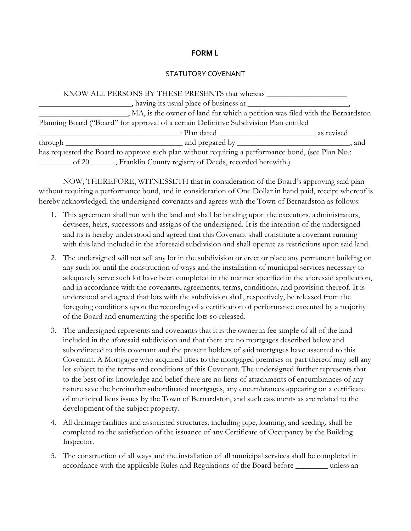### **FORM L**

### STATUTORY COVENANT

| KNOW ALL PERSONS BY THESE PRESENTS that whereas                                                   |  |
|---------------------------------------------------------------------------------------------------|--|
|                                                                                                   |  |
| _, MA, is the owner of land for which a petition was filed with the Bernardston                   |  |
| Planning Board ("Board" for approval of a certain Definitive Subdivision Plan entitled            |  |
|                                                                                                   |  |
|                                                                                                   |  |
| has requested the Board to approve such plan without requiring a performance bond, (see Plan No.: |  |
| ________ of 20 ______, Franklin County registry of Deeds, recorded herewith.)                     |  |

NOW, THEREFORE, WITNESSETH that in consideration of the Board's approving said plan without requiring a performance bond, and in consideration of One Dollar in hand paid, receipt whereof is hereby acknowledged, the undersigned covenants and agrees with the Town of Bernardston as follows:

- 1. This agreement shall run with the land and shall be binding upon the executors, a dministrators, devisees, heirs, successors and assigns of the undersigned. It is the intention of the undersigned and its is hereby understood and agreed that this Covenant shall constitute a covenant running with this land included in the aforesaid subdivision and shall operate as restrictions upon said land.
- 2. The undersigned will not sell any lot in the subdivision or erect or place any permanent building on any such lot until the construction of ways and the installation of municipal services necessary to adequately serve such lot have been completed in the manner specified in the aforesaid application, and in accordance with the covenants, agreements, terms, conditions, and provision thereof. It is understood and agreed that lots with the subdivision shall, respectively, be released from the foregoing conditions upon the recording of a certification of performance executed by a majority of the Board and enumerating the specific lots so released.
- 3. The undersigned represents and covenants that it is the owner in fee simple of all of the land included in the aforesaid subdivision and that there are no mortgages described below and subordinated to this covenant and the present holders of said mortgages have assented to this Covenant. A Mortgagee who acquired titles to the mortgaged premises or part thereof may sell any lot subject to the terms and conditions of this Covenant. The undersigned further represents that to the best of its knowledge and belief there are no liens of attachments of encumbrances of any nature save the hereinafter subordinated mortgages, any encumbrances appearing on a certificate of municipal liens issues by the Town of Bernardston, and such easements as are related to the development of the subject property.
- 4. All drainage facilities and associated structures, including pipe, loaming, and seeding, shall be completed to the satisfaction of the issuance of any Certificate of Occupancy by the Building Inspector.
- 5. The construction of all ways and the installation of all municipal services shall be completed in accordance with the applicable Rules and Regulations of the Board before \_\_\_\_\_\_\_\_ unless an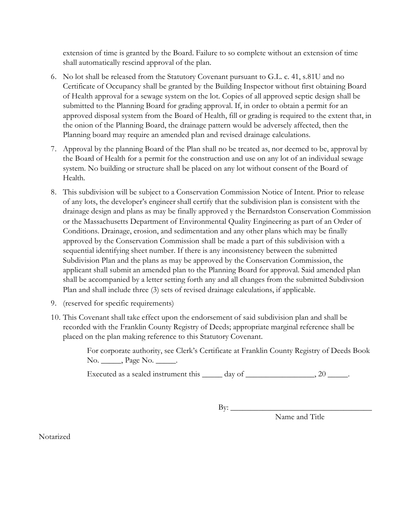extension of time is granted by the Board. Failure to so complete without an extension of time shall automatically rescind approval of the plan.

- 6. No lot shall be released from the Statutory Covenant pursuant to G.L. c. 41, s.81U and no Certificate of Occupancy shall be granted by the Building Inspector without first obtaining Board of Health approval for a sewage system on the lot. Copies of all approved septic design shall be submitted to the Planning Board for grading approval. If, in order to obtain a permit for an approved disposal system from the Board of Health, fill or grading is required to the extent that, in the onion of the Planning Board, the drainage pattern would be adversely affected, then the Planning board may require an amended plan and revised drainage calculations.
- 7. Approval by the planning Board of the Plan shall no be treated as, nor deemed to be, approval by the Board of Health for a permit for the construction and use on any lot of an individual sewage system. No building or structure shall be placed on any lot without consent of the Board of Health.
- 8. This subdivision will be subject to a Conservation Commission Notice of Intent. Prior to release of any lots, the developer's engineer shall certify that the subdivision plan is consistent with the drainage design and plans as may be finally approved y the Bernardston Conservation Commission or the Massachusetts Department of Environmental Quality Engineering as part of an Order of Conditions. Drainage, erosion, and sedimentation and any other plans which may be finally approved by the Conservation Commission shall be made a part of this subdivision with a sequential identifying sheet number. If there is any inconsistency between the submitted Subdivision Plan and the plans as may be approved by the Conservation Commission, the applicant shall submit an amended plan to the Planning Board for approval. Said amended plan shall be accompanied by a letter setting forth any and all changes from the submitted Subdivsion Plan and shall include three (3) sets of revised drainage calculations, if applicable.
- 9. (reserved for specific requirements)
- 10. This Covenant shall take effect upon the endorsement of said subdivision plan and shall be recorded with the Franklin County Registry of Deeds; appropriate marginal reference shall be placed on the plan making reference to this Statutory Covenant.

For corporate authority, see Clerk's Certificate at Franklin County Registry of Deeds Book No. \_\_\_\_\_\_, Page No. \_\_\_\_\_\_.

Executed as a sealed instrument this  $\_\_\_\_$  day of  $\_\_\_\_\_\_\_$ , 20  $\_\_\_\_\,.$ 

By: \_\_\_\_\_\_\_\_\_\_\_\_\_\_\_\_\_\_\_\_\_\_\_\_\_\_\_\_\_\_\_\_\_\_\_

Name and Title

**Notarized**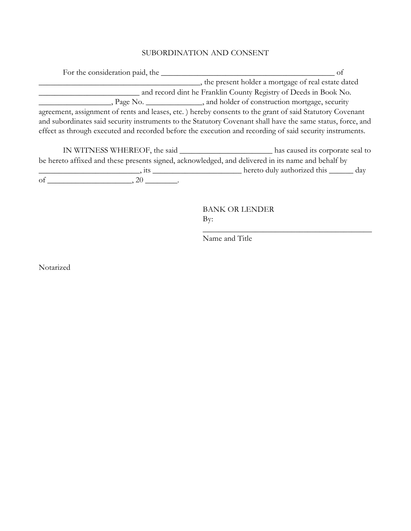# SUBORDINATION AND CONSENT

| For the consideration paid, the |                                                                                                             |
|---------------------------------|-------------------------------------------------------------------------------------------------------------|
|                                 | , the present holder a mortgage of real estate dated                                                        |
|                                 | and record dint he Franklin County Registry of Deeds in Book No.                                            |
|                                 | Page No. _________________, and holder of construction mortgage, security                                   |
|                                 | agreement, assignment of rents and leases, etc.) hereby consents to the grant of said Statutory Covenant    |
|                                 | and subordinates said security instruments to the Statutory Covenant shall have the same status, force, and |
|                                 | effect as through executed and recorded before the execution and recording of said security instruments.    |
|                                 |                                                                                                             |
|                                 |                                                                                                             |

| IN WITNESS WHEREOF, the said                                                                        | has caused its corporate seal to   |
|-----------------------------------------------------------------------------------------------------|------------------------------------|
| be here to affixed and these presents signed, acknowledged, and delivered in its name and behalf by |                                    |
|                                                                                                     | hereto duly authorized this<br>dav |
| Ωt                                                                                                  |                                    |

BANK OR LENDER By:

 $\_$ 

Name and Title

Notarized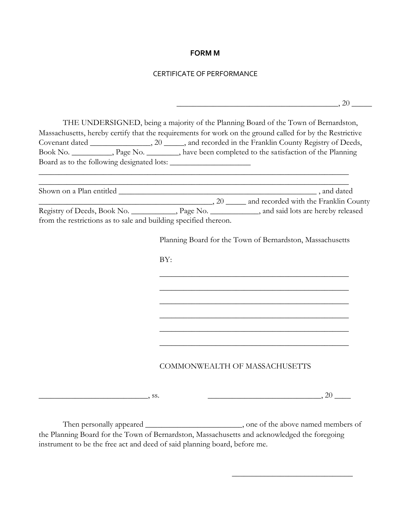### **FORM M**

### CERTIFICATE OF PERFORMANCE

|                                                                  | THE UNDERSIGNED, being a majority of the Planning Board of the Town of Bernardston,                                                                                                                        |  |
|------------------------------------------------------------------|------------------------------------------------------------------------------------------------------------------------------------------------------------------------------------------------------------|--|
|                                                                  | Massachusetts, hereby certify that the requirements for work on the ground called for by the Restrictive<br>Book No. __________, Page No. _______, have been completed to the satisfaction of the Planning |  |
|                                                                  | the control of the control of the control of the control of the control of the control of                                                                                                                  |  |
|                                                                  | <u> 1989 - Johann Stoff, deutscher Stoff, der Stoff, der Stoff, der Stoff, der Stoff, der Stoff, der Stoff, der S</u>                                                                                      |  |
| from the restrictions as to sale and building specified thereon. | Registry of Deeds, Book No. __________, Page No. _________, and said lots are hereby released                                                                                                              |  |
|                                                                  | Planning Board for the Town of Bernardston, Massachusetts                                                                                                                                                  |  |
|                                                                  | BY:                                                                                                                                                                                                        |  |
|                                                                  |                                                                                                                                                                                                            |  |
|                                                                  |                                                                                                                                                                                                            |  |
|                                                                  |                                                                                                                                                                                                            |  |
|                                                                  |                                                                                                                                                                                                            |  |
|                                                                  | COMMONWEALTH OF MASSACHUSETTS                                                                                                                                                                              |  |

Then personally appeared \_\_\_\_\_\_\_\_\_\_\_\_\_\_\_\_\_\_\_\_\_\_\_\_\_\_\_\_\_, one of the above named members of the Planning Board for the Town of Bernardston, Massachusetts and acknowledged the foregoing instrument to be the free act and deed of said planning board, before me.

 $\overline{\phantom{a}}$  , where  $\overline{\phantom{a}}$  , where  $\overline{\phantom{a}}$  , where  $\overline{\phantom{a}}$  ,  $\overline{\phantom{a}}$  ,  $\overline{\phantom{a}}$  ,  $\overline{\phantom{a}}$  ,  $\overline{\phantom{a}}$  ,  $\overline{\phantom{a}}$  ,  $\overline{\phantom{a}}$  ,  $\overline{\phantom{a}}$  ,  $\overline{\phantom{a}}$  ,  $\overline{\phantom{a}}$  ,  $\overline{\phantom{a}}$  ,  $\overline{\phantom$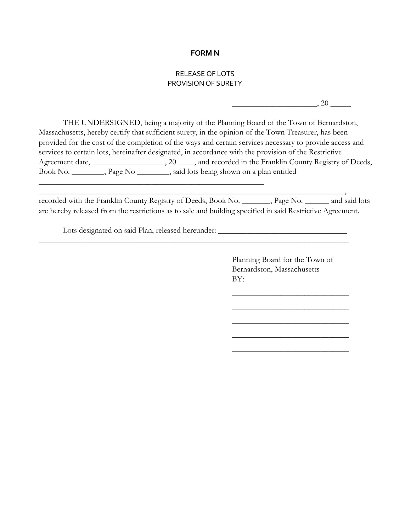### **FORM N**

### RELEASE OF LOTS PROVISION OF SURETY

 $\frac{1}{20}$ , 20  $\frac{1}{20}$ 

THE UNDERSIGNED, being a majority of the Planning Board of the Town of Bernardston, Massachusetts, hereby certify that sufficient surety, in the opinion of the Town Treasurer, has been provided for the cost of the completion of the ways and certain services necessary to provide access and services to certain lots, hereinafter designated, in accordance with the provision of the Restrictive Agreement date, \_\_\_\_\_\_\_\_\_\_\_\_\_\_\_\_\_, 20 \_\_\_\_, and recorded in the Franklin County Registry of Deeds, Book No. \_\_\_\_\_\_\_\_, Page No \_\_\_\_\_\_\_\_, said lots being shown on a plan entitled

recorded with the Franklin County Registry of Deeds, Book No. \_\_\_\_\_\_\_, Page No. \_\_\_\_\_\_ and said lots are hereby released from the restrictions as to sale and building specified in said Restrictive Agreement.

 $\longrightarrow$ 

\_\_\_\_\_\_\_\_\_\_\_\_\_\_\_\_\_\_\_\_\_\_\_\_\_\_\_\_\_\_\_\_\_\_\_\_\_\_\_\_\_\_\_\_\_\_\_\_\_\_\_\_\_\_\_\_\_\_\_\_\_\_\_\_\_\_\_\_\_\_\_\_\_\_\_\_\_

Lots designated on said Plan, released hereunder: \_\_\_\_\_\_\_\_\_\_\_\_\_\_\_\_\_\_\_\_\_\_\_\_\_\_\_\_\_\_

\_\_\_\_\_\_\_\_\_\_\_\_\_\_\_\_\_\_\_\_\_\_\_\_\_\_\_\_\_\_\_\_\_\_\_\_\_\_\_\_\_\_\_\_\_\_\_\_\_\_\_\_\_\_\_\_

Planning Board for the Town of Bernardston, Massachusetts BY:

 $\overline{\phantom{a}}$  , where  $\overline{\phantom{a}}$  , where  $\overline{\phantom{a}}$  , where  $\overline{\phantom{a}}$ 

 $\overline{\phantom{a}}$  , where  $\overline{\phantom{a}}$  , where  $\overline{\phantom{a}}$  , where  $\overline{\phantom{a}}$ 

 $\overline{\phantom{a}}$  , where  $\overline{\phantom{a}}$  , where  $\overline{\phantom{a}}$  , where  $\overline{\phantom{a}}$ 

 $\overline{\phantom{a}}$  , where  $\overline{\phantom{a}}$  , where  $\overline{\phantom{a}}$  , where  $\overline{\phantom{a}}$ 

 $\overline{\phantom{a}}$  , where  $\overline{\phantom{a}}$  , where  $\overline{\phantom{a}}$  , where  $\overline{\phantom{a}}$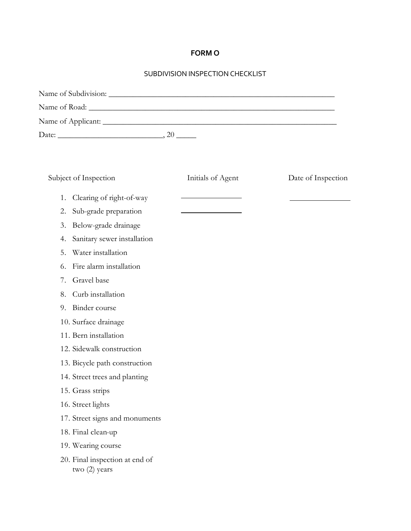# **FORM O**

### SUBDIVISION INSPECTION CHECKLIST

| Subject of Inspection                             | Initials of Agent | Date of Inspection |
|---------------------------------------------------|-------------------|--------------------|
| Clearing of right-of-way<br>1.                    |                   |                    |
| Sub-grade preparation<br>2.                       |                   |                    |
| Below-grade drainage<br>3.                        |                   |                    |
| Sanitary sewer installation<br>4.                 |                   |                    |
| Water installation<br>5.                          |                   |                    |
| Fire alarm installation<br>6.                     |                   |                    |
| Gravel base<br>7.                                 |                   |                    |
| Curb installation<br>8.                           |                   |                    |
| Binder course<br>9.                               |                   |                    |
| 10. Surface drainage                              |                   |                    |
| 11. Bern installation                             |                   |                    |
| 12. Sidewalk construction                         |                   |                    |
| 13. Bicycle path construction                     |                   |                    |
| 14. Street trees and planting                     |                   |                    |
| 15. Grass strips                                  |                   |                    |
| 16. Street lights                                 |                   |                    |
| 17. Street signs and monuments                    |                   |                    |
| 18. Final clean-up                                |                   |                    |
| 19. Wearing course                                |                   |                    |
| 20. Final inspection at end of<br>two $(2)$ years |                   |                    |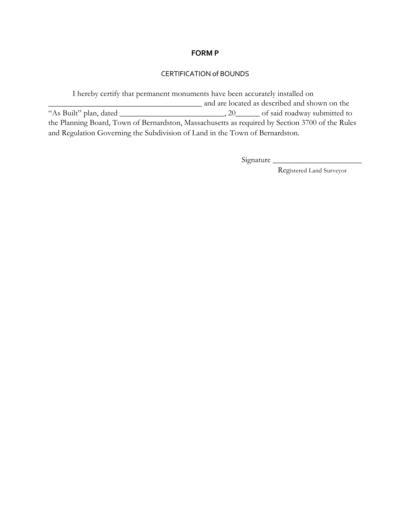### **FORM P**

### CERTIFICATION of BOUNDS

I hereby certify that permanent monuments have been accurately installed on and are located as described and shown on the "As Built" plan, dated \_\_\_\_\_\_\_\_\_\_\_\_\_\_\_\_\_\_\_\_\_\_\_\_\_\_, 20\_\_\_\_\_\_ of said roadway submitted to the Planning Board, Town of Bernardston, Massachusetts as required by Section 3700 of the Rules and Regulation Governing the Subdivision of Land in the Town of Bernardston.

Signature \_\_\_\_\_\_\_\_\_\_\_\_\_\_\_\_\_\_\_\_\_\_

Registered Land Surveyor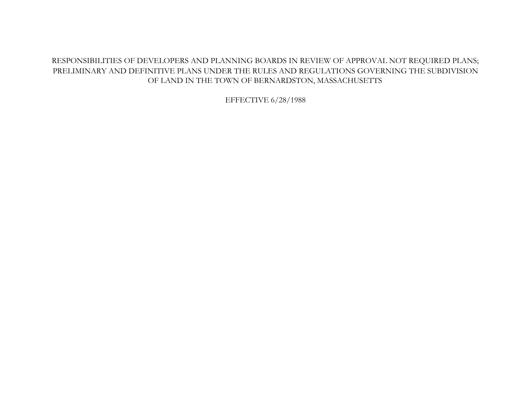# RESPONSIBILITIES OF DEVELOPERS AND PLANNING BOARDS IN REVIEW OF APPROVAL NOT REQUIRED PLANS; PRELIMINARY AND DEFINITIVE PLANS UNDER THE RULES AND REGULATIONS GOVERNING THE SUBDIVISION OF LAND IN THE TOWN OF BERNARDSTON, MASSACHUSETTS

EFFECTIVE 6/28/1988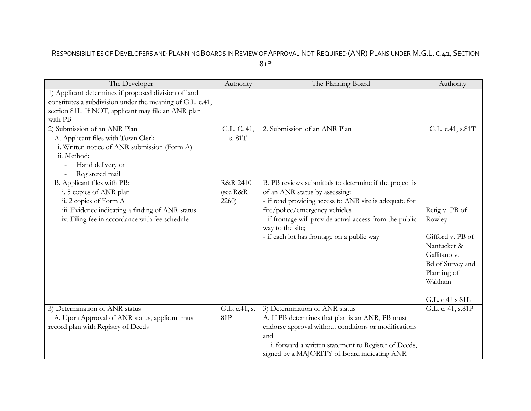# RESPONSIBILITIES OF DEVELOPERS AND PLANNING BOARDS IN REVIEW OF APPROVAL NOT REQUIRED (ANR) PLANS UNDER M.G.L. C.41, SECTION 81P

| The Developer                                             | Authority           | The Planning Board                                       | Authority                       |
|-----------------------------------------------------------|---------------------|----------------------------------------------------------|---------------------------------|
| 1) Applicant determines if proposed division of land      |                     |                                                          |                                 |
| constitutes a subdivision under the meaning of G.L. c.41, |                     |                                                          |                                 |
| section 81L. If NOT, applicant may file an ANR plan       |                     |                                                          |                                 |
| with PB                                                   |                     |                                                          |                                 |
| 2) Submission of an ANR Plan                              | G.L. C. 41,         | 2. Submission of an ANR Plan                             | G.L. c.41, s.81T                |
| A. Applicant files with Town Clerk                        | s. 81T              |                                                          |                                 |
| i. Written notice of ANR submission (Form A)              |                     |                                                          |                                 |
| ii. Method:                                               |                     |                                                          |                                 |
| Hand delivery or                                          |                     |                                                          |                                 |
| Registered mail                                           |                     |                                                          |                                 |
| B. Applicant files with PB:                               | <b>R&amp;R 2410</b> | B. PB reviews submittals to determine if the project is  |                                 |
| i. 5 copies of ANR plan                                   | (see R&R            | of an ANR status by assessing:                           |                                 |
| ii. 2 copies of Form A                                    | 2260)               | - if road providing access to ANR site is adequate for   |                                 |
| iii. Evidence indicating a finding of ANR status          |                     | fire/police/emergency vehicles                           | Retig v. PB of                  |
| iv. Filing fee in accordance with fee schedule            |                     | - if frontage will provide actual access from the public | Rowley                          |
|                                                           |                     | way to the site;                                         |                                 |
|                                                           |                     | - if each lot has frontage on a public way               | Gifford v. PB of<br>Nantucket & |
|                                                           |                     |                                                          | Gallitano v.                    |
|                                                           |                     |                                                          |                                 |
|                                                           |                     |                                                          | Bd of Survey and<br>Planning of |
|                                                           |                     |                                                          | Waltham                         |
|                                                           |                     |                                                          |                                 |
|                                                           |                     |                                                          | G.L. c.41 s 81L                 |
| 3) Determination of ANR status                            | G.L. c.41, s.       | 3) Determination of ANR status                           | G.L. c. 41, s.81P               |
| A. Upon Approval of ANR status, applicant must            | 81P                 | A. If PB determines that plan is an ANR, PB must         |                                 |
| record plan with Registry of Deeds                        |                     | endorse approval without conditions or modifications     |                                 |
|                                                           |                     | and                                                      |                                 |
|                                                           |                     | i. forward a written statement to Register of Deeds,     |                                 |
|                                                           |                     | signed by a MAJORITY of Board indicating ANR             |                                 |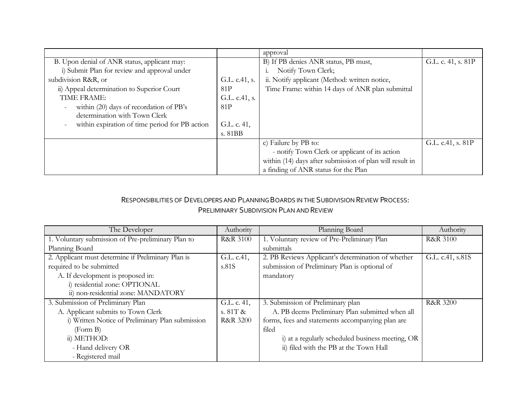|                                                                     |               | approval                                                 |                    |
|---------------------------------------------------------------------|---------------|----------------------------------------------------------|--------------------|
| B. Upon denial of ANR status, applicant may:                        |               | B) If PB denies ANR status, PB must,                     | G.L. c. 41, s. 81P |
| i) Submit Plan for review and approval under                        |               | Notify Town Clerk;                                       |                    |
| subdivision R&R, or                                                 | G.L. c.41, s. | ii. Notify applicant (Method: written notice,            |                    |
| ii) Appeal determination to Superior Court                          | 81P           | Time Frame: within 14 days of ANR plan submittal         |                    |
| TIME FRAME:                                                         | G.L. c.41, s. |                                                          |                    |
| within (20) days of recordation of PB's<br>$\overline{\phantom{a}}$ | 81P           |                                                          |                    |
| determination with Town Clerk                                       |               |                                                          |                    |
| within expiration of time period for PB action                      | G.L. c. 41,   |                                                          |                    |
|                                                                     | s. 81BB       |                                                          |                    |
|                                                                     |               | c) Failure by PB to:                                     | G.L. c.41, s. 81P  |
|                                                                     |               | - notify Town Clerk or applicant of its action           |                    |
|                                                                     |               | within (14) days after submission of plan will result in |                    |
|                                                                     |               | a finding of ANR status for the Plan                     |                    |

# RESPONSIBILITIES OF DEVELOPERS AND PLANNING BOARDS IN THE SUBDIVISION REVIEW PROCESS: PRELIMINARY SUBDIVISION PLAN AND REVIEW

| The Developer                                      | Authority           | Planning Board                                     | Authority           |
|----------------------------------------------------|---------------------|----------------------------------------------------|---------------------|
| 1. Voluntary submission of Pre-preliminary Plan to | <b>R&amp;R 3100</b> | 1. Voluntary review of Pre-Preliminary Plan        | <b>R&amp;R 3100</b> |
| Planning Board                                     |                     | submittals                                         |                     |
| 2. Applicant must determine if Preliminary Plan is | G.L. c.41,          | 2. PB Reviews Applicant's determination of whether | G.L. c.41, s.81S    |
| required to be submitted                           | s.81S               | submission of Preliminary Plan is optional of      |                     |
| A. If development is proposed in:                  |                     | mandatory                                          |                     |
| i) residential zone: OPTIONAL                      |                     |                                                    |                     |
| ii) non-residential zone: MANDATORY                |                     |                                                    |                     |
| 3. Submission of Preliminary Plan                  | G.L. c. 41,         | 3. Submission of Preliminary plan                  | <b>R&amp;R 3200</b> |
| A. Applicant submits to Town Clerk                 | s. 81T &            | A. PB deems Preliminary Plan submitted when all    |                     |
| i) Written Notice of Preliminary Plan submission   | <b>R&amp;R 3200</b> | forms, fees and statements accompanying plan are   |                     |
| (Form B)                                           |                     | filed                                              |                     |
| ii) METHOD:                                        |                     | i) at a regularly scheduled business meeting, OR   |                     |
| - Hand delivery OR                                 |                     | ii) filed with the PB at the Town Hall             |                     |
| - Registered mail                                  |                     |                                                    |                     |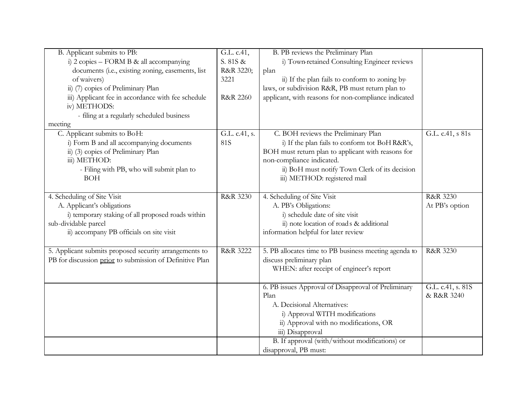| B. Applicant submits to PB:                              | G.L. c.41,          | B. PB reviews the Preliminary Plan                    |                   |
|----------------------------------------------------------|---------------------|-------------------------------------------------------|-------------------|
| i) 2 copies – FORM B & all accompanying                  | S. 81S &            | i) Town-retained Consulting Engineer reviews          |                   |
| documents (i.e., existing zoning, easements, list        | R&R 3220;           | plan                                                  |                   |
| of waivers)                                              | 3221                | ii) If the plan fails to conform to zoning by-        |                   |
| ii) (7) copies of Preliminary Plan                       |                     | laws, or subdivision R&R, PB must return plan to      |                   |
| iii) Applicant fee in accordance with fee schedule       | <b>R&amp;R 2260</b> | applicant, with reasons for non-compliance indicated  |                   |
| iv) METHODS:                                             |                     |                                                       |                   |
| - filing at a regularly scheduled business               |                     |                                                       |                   |
| meeting                                                  |                     |                                                       |                   |
| C. Applicant submits to BoH:                             | G.L. c.41, s.       | C. BOH reviews the Preliminary Plan                   | G.L. c.41, s 81s  |
| i) Form B and all accompanying documents                 | <b>81S</b>          | i) If the plan fails to conform tot BoH R&R's,        |                   |
| ii) (3) copies of Preliminary Plan                       |                     | BOH must return plan to applicant with reasons for    |                   |
| iii) METHOD:                                             |                     | non-compliance indicated.                             |                   |
| - Filing with PB, who will submit plan to                |                     | ii) BoH must notify Town Clerk of its decision        |                   |
| <b>BOH</b>                                               |                     | iii) METHOD: registered mail                          |                   |
|                                                          |                     |                                                       |                   |
| 4. Scheduling of Site Visit                              | R&R 3230            | 4. Scheduling of Site Visit                           | R&R 3230          |
| A. Applicant's obligations                               |                     | A. PB's Obligations:                                  | At PB's option    |
| i) temporary staking of all proposed roads within        |                     | i) schedule date of site visit                        |                   |
| sub-dividable parcel                                     |                     | ii) note location of roads & additional               |                   |
| ii) accompany PB officials on site visit                 |                     | information helpful for later review                  |                   |
|                                                          |                     |                                                       |                   |
| 5. Applicant submits proposed security arrangements to   | R&R 3222            | 5. PB allocates time to PB business meeting agenda to | R&R 3230          |
| PB for discussion prior to submission of Definitive Plan |                     | discuss preliminary plan                              |                   |
|                                                          |                     | WHEN: after receipt of engineer's report              |                   |
|                                                          |                     |                                                       |                   |
|                                                          |                     | 6. PB issues Approval of Disapproval of Preliminary   | G.L. c.41, s. 81S |
|                                                          |                     | Plan                                                  | & R&R 3240        |
|                                                          |                     | A. Decisional Alternatives:                           |                   |
|                                                          |                     | i) Approval WITH modifications                        |                   |
|                                                          |                     | ii) Approval with no modifications, OR                |                   |
|                                                          |                     | iii) Disapproval                                      |                   |
|                                                          |                     | B. If approval (with/without modifications) or        |                   |
|                                                          |                     | disapproval, PB must:                                 |                   |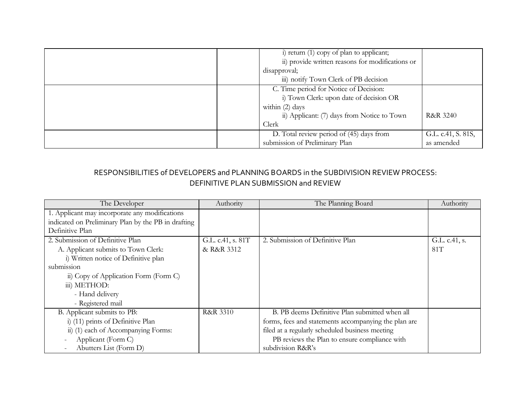| i) return (1) copy of plan to applicant;<br>ii) provide written reasons for modifications or<br>disapproval;<br>iii) notify Town Clerk of PB decision        |                                  |
|--------------------------------------------------------------------------------------------------------------------------------------------------------------|----------------------------------|
| C. Time period for Notice of Decision:<br>i) Town Clerk: upon date of decision OR<br>within (2) days<br>ii) Applicant: (7) days from Notice to Town<br>Clerk | <b>R&amp;R 3240</b>              |
| D. Total review period of (45) days from<br>submission of Preliminary Plan                                                                                   | G.L. c.41, S. 81S,<br>as amended |

# RESPONSIBILITIES of DEVELOPERS and PLANNING BOARDS in the SUBDIVISION REVIEW PROCESS: DEFINITIVE PLAN SUBMISSION and REVIEW

| The Developer                                       | Authority           | The Planning Board                                   | Authority     |
|-----------------------------------------------------|---------------------|------------------------------------------------------|---------------|
| 1. Applicant may incorporate any modifications      |                     |                                                      |               |
| indicated on Preliminary Plan by the PB in drafting |                     |                                                      |               |
| Definitive Plan                                     |                     |                                                      |               |
| 2. Submission of Definitive Plan                    | G.L. c.41, s. 81T   | 2. Submission of Definitive Plan                     | G.L. c.41, s. |
| A. Applicant submits to Town Clerk:                 | & R&R 3312          |                                                      | 81T           |
| i) Written notice of Definitive plan                |                     |                                                      |               |
| submission                                          |                     |                                                      |               |
| ii) Copy of Application Form (Form C)               |                     |                                                      |               |
| iii) METHOD:                                        |                     |                                                      |               |
| - Hand delivery                                     |                     |                                                      |               |
| - Registered mail                                   |                     |                                                      |               |
| B. Applicant submits to PB:                         | <b>R&amp;R 3310</b> | B. PB deems Definitive Plan submitted when all       |               |
| i) (11) prints of Definitive Plan                   |                     | forms, fees and statements accompanying the plan are |               |
| ii) (1) each of Accompanying Forms:                 |                     | filed at a regularly scheduled business meeting      |               |
| Applicant (Form C)                                  |                     | PB reviews the Plan to ensure compliance with        |               |
| Abutters List (Form D)                              |                     | subdivision R&R's                                    |               |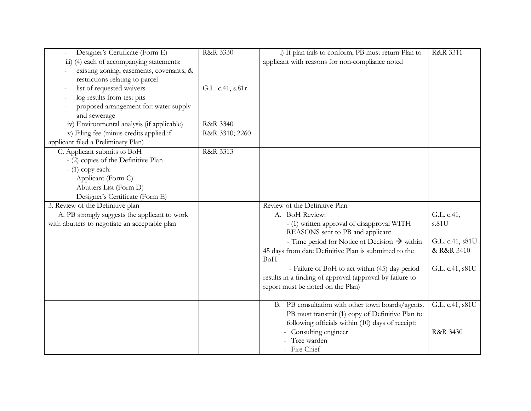| Designer's Certificate (Form E)               | R&R 3330         | i) If plan fails to conform, PB must return Plan to                 | R&R 3311        |
|-----------------------------------------------|------------------|---------------------------------------------------------------------|-----------------|
| iii) (4) each of accompanying statements:     |                  | applicant with reasons for non-compliance noted                     |                 |
| existing zoning, easements, covenants, &      |                  |                                                                     |                 |
| restrictions relating to parcel               |                  |                                                                     |                 |
| list of requested waivers                     | G.L. c.41, s.81r |                                                                     |                 |
| log results from test pits                    |                  |                                                                     |                 |
| proposed arrangement for: water supply        |                  |                                                                     |                 |
| and sewerage                                  |                  |                                                                     |                 |
| iv) Environmental analysis (if applicable)    | R&R 3340         |                                                                     |                 |
| v) Filing fee (minus credits applied if       | R&R 3310; 2260   |                                                                     |                 |
| applicant filed a Preliminary Plan)           |                  |                                                                     |                 |
| C. Applicant submits to BoH                   | R&R 3313         |                                                                     |                 |
| - (2) copies of the Definitive Plan           |                  |                                                                     |                 |
| $-$ (1) copy each:                            |                  |                                                                     |                 |
| Applicant (Form C)                            |                  |                                                                     |                 |
| Abutters List (Form D)                        |                  |                                                                     |                 |
| Designer's Certificate (Form E)               |                  |                                                                     |                 |
| 3. Review of the Definitive plan              |                  | Review of the Definitive Plan                                       |                 |
| A. PB strongly suggests the applicant to work |                  | A. BoH Review:                                                      | G.L. c.41,      |
| with abutters to negotiate an acceptable plan |                  | - (1) written approval of disapproval WITH                          | s.81U           |
|                                               |                  | REASONS sent to PB and applicant                                    |                 |
|                                               |                  | - Time period for Notice of Decision $\rightarrow$ within           | G.L. c.41, s81U |
|                                               |                  | 45 days from date Definitive Plan is submitted to the<br><b>BoH</b> | & R&R 3410      |
|                                               |                  | - Failure of BoH to act within (45) day period                      | G.L. c.41, s81U |
|                                               |                  | results in a finding of approval (approval by failure to            |                 |
|                                               |                  | report must be noted on the Plan)                                   |                 |
|                                               |                  |                                                                     |                 |
|                                               |                  | B. PB consultation with other town boards/agents.                   | G.L. c.41, s81U |
|                                               |                  | PB must transmit (1) copy of Definitive Plan to                     |                 |
|                                               |                  | following officials within (10) days of receipt:                    |                 |
|                                               |                  | - Consulting engineer                                               | R&R 3430        |
|                                               |                  | Tree warden                                                         |                 |
|                                               |                  | - Fire Chief                                                        |                 |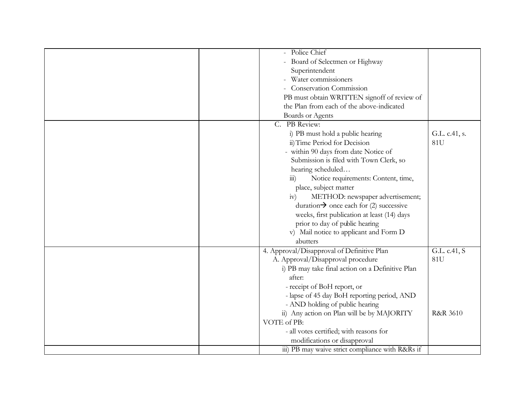| - Police Chief                                            |                     |
|-----------------------------------------------------------|---------------------|
| - Board of Selectmen or Highway                           |                     |
| Superintendent                                            |                     |
| - Water commissioners                                     |                     |
| - Conservation Commission                                 |                     |
| PB must obtain WRITTEN signoff of review of               |                     |
| the Plan from each of the above-indicated                 |                     |
| <b>Boards or Agents</b>                                   |                     |
| C. PB Review:                                             |                     |
| i) PB must hold a public hearing                          | G.L. c.41, s.       |
| ii) Time Period for Decision                              | 81U                 |
| - within 90 days from date Notice of                      |                     |
| Submission is filed with Town Clerk, so                   |                     |
| hearing scheduled                                         |                     |
| Notice requirements: Content, time,<br>$\overline{111}$ ) |                     |
| place, subject matter                                     |                     |
| METHOD: newspaper advertisement;<br>iv)                   |                     |
| duration $\rightarrow$ once each for (2) successive       |                     |
| weeks, first publication at least (14) days               |                     |
| prior to day of public hearing                            |                     |
| v) Mail notice to applicant and Form D                    |                     |
| abutters                                                  |                     |
|                                                           |                     |
| 4. Approval/Disapproval of Definitive Plan                | G.L. c.41, S        |
| A. Approval/Disapproval procedure                         | 81U                 |
| i) PB may take final action on a Definitive Plan          |                     |
| after:                                                    |                     |
| - receipt of BoH report, or                               |                     |
| - lapse of 45 day BoH reporting period, AND               |                     |
| - AND holding of public hearing                           |                     |
| ii) Any action on Plan will be by MAJORITY                | <b>R&amp;R 3610</b> |
| VOTE of PB:                                               |                     |
| - all votes certified; with reasons for                   |                     |
| modifications or disapproval                              |                     |
| iii) PB may waive strict compliance with R&Rs if          |                     |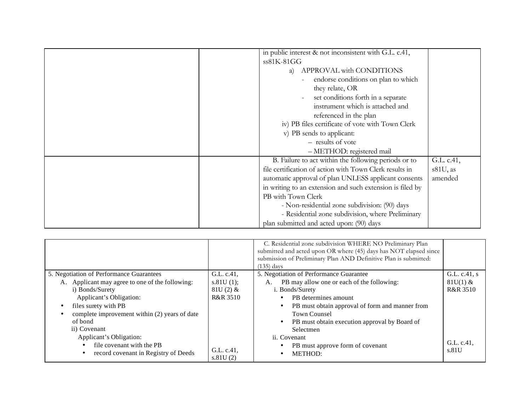| in public interest & not inconsistent with G.L. c.41,     |            |
|-----------------------------------------------------------|------------|
|                                                           |            |
| ss81K-81GG                                                |            |
| APPROVAL with CONDITIONS<br>a)                            |            |
| endorse conditions on plan to which                       |            |
| they relate, OR                                           |            |
| set conditions forth in a separate                        |            |
| instrument which is attached and                          |            |
| referenced in the plan                                    |            |
| iv) PB files certificate of vote with Town Clerk          |            |
| v) PB sends to applicant:                                 |            |
| - results of vote                                         |            |
| - METHOD: registered mail                                 |            |
| B. Failure to act within the following periods or to      | G.L. c.41, |
| file certification of action with Town Clerk results in   | s81U, as   |
| automatic approval of plan UNLESS applicant consents      | amended    |
| in writing to an extension and such extension is filed by |            |
| PB with Town Clerk                                        |            |
| - Non-residential zone subdivision: (90) days             |            |
| - Residential zone subdivision, where Preliminary         |            |
| plan submitted and acted upon: (90) days                  |            |

|                                                 |                        | C. Residential zone subdivision WHERE NO Preliminary Plan<br>submitted and acted upon OR where (45) days has NOT elapsed since<br>submission of Preliminary Plan AND Definitive Plan is submitted:<br>(135) days |                     |
|-------------------------------------------------|------------------------|------------------------------------------------------------------------------------------------------------------------------------------------------------------------------------------------------------------|---------------------|
| 5. Negotiation of Performance Guarantees        | G.L. c.41,             | 5. Negotiation of Performance Guarantee                                                                                                                                                                          | G.L. c.41, s        |
| A. Applicant may agree to one of the following: | s.81U(1);              | PB may allow one or each of the following:<br>А.                                                                                                                                                                 | $81U(1)$ &          |
| i) Bonds/Surety                                 | $81U(2)$ &             | i. Bonds/Surety                                                                                                                                                                                                  | <b>R&amp;R 3510</b> |
| Applicant's Obligation:                         | <b>R&amp;R 3510</b>    | PB determines amount                                                                                                                                                                                             |                     |
| files surety with PB                            |                        | PB must obtain approval of form and manner from                                                                                                                                                                  |                     |
| complete improvement within (2) years of date   |                        | <b>Town Counsel</b>                                                                                                                                                                                              |                     |
| of bond                                         |                        | PB must obtain execution approval by Board of                                                                                                                                                                    |                     |
| ii) Covenant                                    |                        | Selectmen                                                                                                                                                                                                        |                     |
| Applicant's Obligation:                         |                        | ii. Covenant                                                                                                                                                                                                     |                     |
| file covenant with the PB                       |                        | PB must approve form of covenant                                                                                                                                                                                 | G.L. c.41,          |
| record covenant in Registry of Deeds            | G.L. c.41,<br>s.81U(2) | METHOD:                                                                                                                                                                                                          | s.81U               |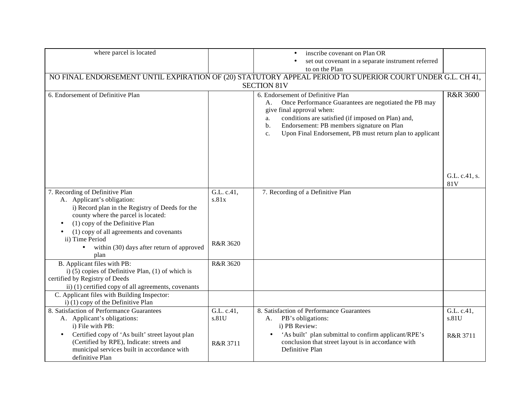| where parcel is located                                                                                                                                                                             |                     | inscribe covenant on Plan OR<br>$\bullet$                                                                                                                                                                                                                                                                      |                                 |
|-----------------------------------------------------------------------------------------------------------------------------------------------------------------------------------------------------|---------------------|----------------------------------------------------------------------------------------------------------------------------------------------------------------------------------------------------------------------------------------------------------------------------------------------------------------|---------------------------------|
|                                                                                                                                                                                                     |                     | set out covenant in a separate instrument referred                                                                                                                                                                                                                                                             |                                 |
|                                                                                                                                                                                                     |                     | to on the Plan                                                                                                                                                                                                                                                                                                 |                                 |
|                                                                                                                                                                                                     |                     | NO FINAL ENDORSEMENT UNTIL EXPIRATION OF (20) STATUTORY APPEAL PERIOD TO SUPERIOR COURT UNDER G.L. CH 41,                                                                                                                                                                                                      |                                 |
|                                                                                                                                                                                                     |                     | <b>SECTION 81V</b>                                                                                                                                                                                                                                                                                             |                                 |
| 6. Endorsement of Definitive Plan                                                                                                                                                                   |                     | 6. Endorsement of Definitive Plan<br>Once Performance Guarantees are negotiated the PB may<br>А.<br>give final approval when:<br>conditions are satisfied (if imposed on Plan) and,<br>a.<br>Endorsement: PB members signature on Plan<br>b.<br>Upon Final Endorsement, PB must return plan to applicant<br>c. | <b>R&amp;R 3600</b>             |
|                                                                                                                                                                                                     |                     |                                                                                                                                                                                                                                                                                                                | G.L. c.41, s.<br>81V            |
| 7. Recording of Definitive Plan                                                                                                                                                                     | G.L. c.41,          | 7. Recording of a Definitive Plan                                                                                                                                                                                                                                                                              |                                 |
| A. Applicant's obligation:<br>i) Record plan in the Registry of Deeds for the<br>county where the parcel is located:<br>(1) copy of the Definitive Plan<br>(1) copy of all agreements and covenants | s.81x               |                                                                                                                                                                                                                                                                                                                |                                 |
| ii) Time Period<br>within (30) days after return of approved<br>$\bullet$<br>plan                                                                                                                   | R&R 3620            |                                                                                                                                                                                                                                                                                                                |                                 |
| B. Applicant files with PB:<br>i) (5) copies of Definitive Plan, (1) of which is<br>certified by Registry of Deeds<br>ii) (1) certified copy of all agreements, covenants                           | R&R 3620            |                                                                                                                                                                                                                                                                                                                |                                 |
| C. Applicant files with Building Inspector:<br>i) (1) copy of the Definitive Plan                                                                                                                   |                     |                                                                                                                                                                                                                                                                                                                |                                 |
| 8. Satisfaction of Performance Guarantees<br>A. Applicant's obligations:<br>i) File with PB:<br>Certified copy of 'As built' street layout plan<br>$\bullet$                                        | G.L. c.41,<br>s.81U | 8. Satisfaction of Performance Guarantees<br>PB's obligations:<br>А.<br>i) PB Review:<br>'As built' plan submittal to confirm applicant/RPE's                                                                                                                                                                  | G.L. c.41,<br>s.81U<br>R&R 3711 |
| (Certified by RPE), Indicate: streets and<br>municipal services built in accordance with<br>definitive Plan                                                                                         | R&R 3711            | conclusion that street layout is in accordance with<br>Definitive Plan                                                                                                                                                                                                                                         |                                 |